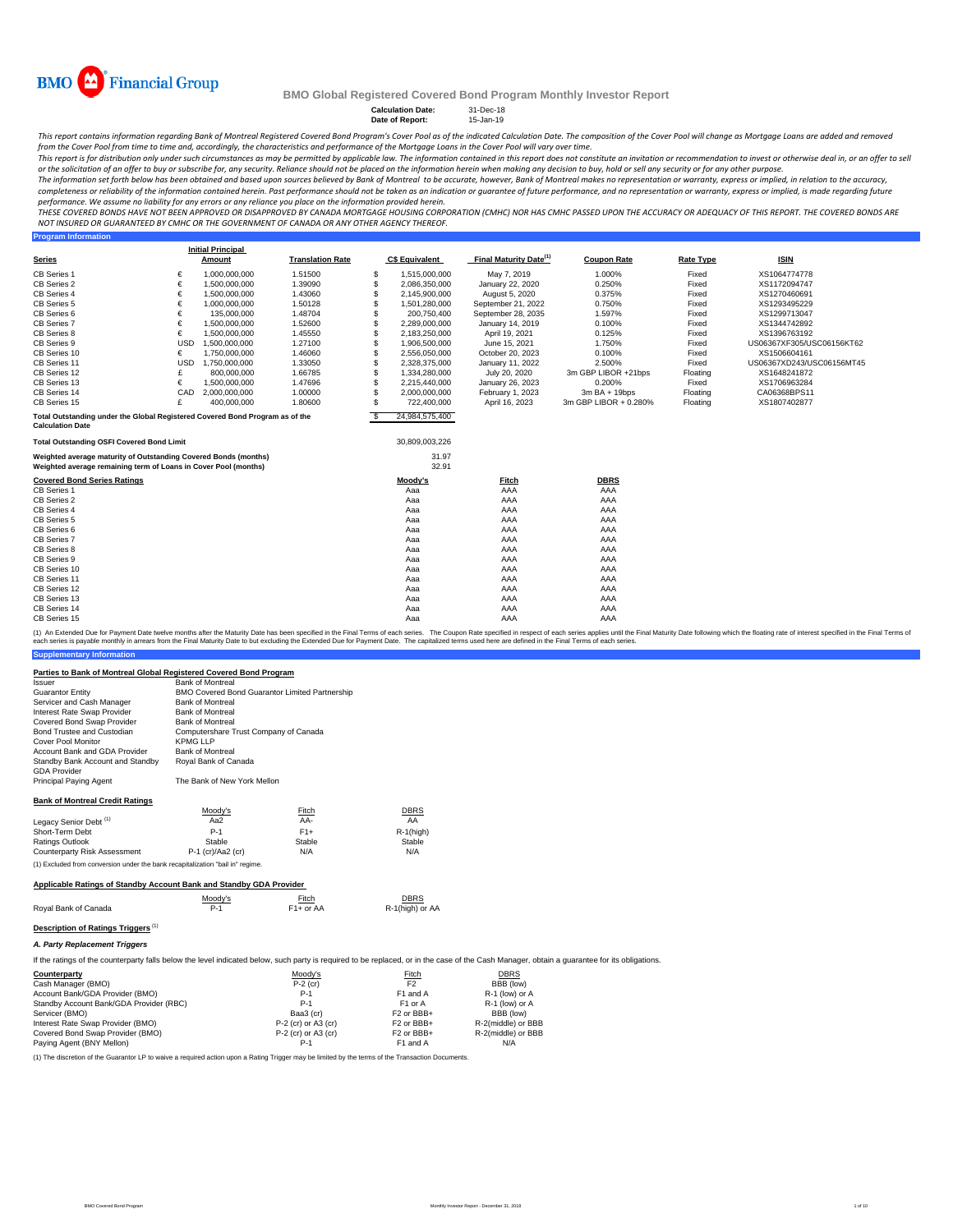

**Program Information**

#### **BMO Global Registered Covered Bond Program Monthly Investor Report**

**Calculation Date:** 31-Dec-18 **Date of Report:** 15-Jan-19

This report contains information regarding Bank of Montreal Registered Covered Bond Program's Cover Pool as of the indicated Calculation Date. The composition of the Cover Pool will change as Mortgage Loans are added and r from the Cover Pool from time to time and, accordingly, the characteristics and performance of the Mortgage Loans in the Cover Pool will vary over time.

This report is for distribution only under such circumstances as may be permitted by applicable law. The information contained in this report does not constitute an invitation or recommendation to invest or otherwise deal

The information set forth below has been obtained and based upon sources believed by Bank of Montreal to be accurate, however, Bank of Montreal makes no representation or warranty, express or implied, in relation to the ac completeness or reliability of the information contained herein. Past performance should not be taken as an indication or guarantee of future performance, and no representation or warranty, express or implied, is made rega

THESE COVERED BONDS HAVE NOT BEEN APPROVED OR DISAPPROVED BY CANADA MORTGAGE HOUSING CORPORATION (CMHC) NOR HAS CMHC PASSED UPON THE ACCURACY OR ADEQUACY OF THIS REPORT. THE COVERED BONDS ARE<br>NOT INSURED OR GUARANTEED BY C

|                                                                                                                                    |            | <b>Initial Principal</b> |                         |    |                |                                    |                       |                  |                           |
|------------------------------------------------------------------------------------------------------------------------------------|------------|--------------------------|-------------------------|----|----------------|------------------------------------|-----------------------|------------------|---------------------------|
| <b>Series</b>                                                                                                                      |            | Amount                   | <b>Translation Rate</b> |    | C\$ Equivalent | Final Maturity Date <sup>(1)</sup> | <b>Coupon Rate</b>    | <b>Rate Type</b> | <b>ISIN</b>               |
| CB Series 1                                                                                                                        | €          | 1,000,000,000            | 1.51500                 | S  | 1,515,000,000  | May 7, 2019                        | 1.000%                | Fixed            | XS1064774778              |
| CB Series 2                                                                                                                        | €          | 1,500,000,000            | 1.39090                 | S  | 2,086,350,000  | January 22, 2020                   | 0.250%                | Fixed            | XS1172094747              |
| CB Series 4                                                                                                                        | €          | 1,500,000,000            | 1.43060                 | S  | 2,145,900,000  | August 5, 2020                     | 0.375%                | Fixed            | XS1270460691              |
| CB Series 5                                                                                                                        | €          | 1,000,000,000            | 1.50128                 |    | 1,501,280,000  | September 21, 2022                 | 0.750%                | Fixed            | XS1293495229              |
| CB Series 6                                                                                                                        | €          | 135.000.000              | 1.48704                 | S  | 200.750.400    | September 28, 2035                 | 1.597%                | Fixed            | XS1299713047              |
| CB Series 7                                                                                                                        | €          | 1.500.000.000            | 1.52600                 | S  | 2,289,000,000  | January 14, 2019                   | 0.100%                | Fixed            | XS1344742892              |
| CB Series 8                                                                                                                        | €          | 1,500,000,000            | 1.45550                 |    | 2,183,250,000  | April 19, 2021                     | 0.125%                | Fixed            | XS1396763192              |
| CB Series 9                                                                                                                        | <b>USD</b> | 1.500.000.000            | 1.27100                 | S  | 1,906,500,000  | June 15, 2021                      | 1.750%                | Fixed            | US06367XF305/USC06156KT62 |
| CB Series 10                                                                                                                       | €          | 1,750,000,000            | 1.46060                 | S  | 2,556,050,000  | October 20, 2023                   | 0.100%                | Fixed            | XS1506604161              |
| CB Series 11                                                                                                                       | <b>USD</b> | 1,750,000,000            | 1.33050                 | S  | 2,328,375,000  | January 11, 2022                   | 2.500%                | Fixed            | US06367XD243/USC06156MT45 |
| CB Series 12                                                                                                                       | £          | 800,000,000              | 1.66785                 | S  | 1.334.280.000  | July 20, 2020                      | 3m GBP LIBOR +21bps   | Floating         | XS1648241872              |
| CB Series 13                                                                                                                       | €          | 1,500,000,000            | 1.47696                 | S  | 2.215.440.000  | January 26, 2023                   | 0.200%                | Fixed            | XS1706963284              |
| CB Series 14                                                                                                                       | CAD        | 2,000,000,000            | 1.00000                 |    | 2,000,000,000  | February 1, 2023                   | $3mBA + 19bps$        | Floating         | CA06368BPS11              |
| CB Series 15                                                                                                                       | £          | 400.000.000              | 1.80600                 | S  | 722.400.000    | April 16, 2023                     | 3m GBP LIBOR + 0.280% | Floating         | XS1807402877              |
| Total Outstanding under the Global Registered Covered Bond Program as of the<br><b>Calculation Date</b>                            |            |                          |                         | -S | 24,984,575,400 |                                    |                       |                  |                           |
| <b>Total Outstanding OSFI Covered Bond Limit</b>                                                                                   |            |                          |                         |    | 30,809,003,226 |                                    |                       |                  |                           |
| Weighted average maturity of Outstanding Covered Bonds (months)<br>Weighted average remaining term of Loans in Cover Pool (months) |            |                          |                         |    | 31.97<br>32.91 |                                    |                       |                  |                           |
| <b>Covered Bond Series Ratings</b>                                                                                                 |            |                          |                         |    | Moody's        | Fitch                              | <b>DBRS</b>           |                  |                           |
| CB Series 1                                                                                                                        |            |                          |                         |    | Aaa            | AAA                                | AAA                   |                  |                           |
| CB Series 2                                                                                                                        |            |                          |                         |    | Aaa            | AAA                                | AAA                   |                  |                           |
| CB Series 4                                                                                                                        |            |                          |                         |    | Aaa            | AAA                                | AAA                   |                  |                           |
| CB Series 5                                                                                                                        |            |                          |                         |    | Aaa            | AAA                                | AAA                   |                  |                           |
| CB Series 6                                                                                                                        |            |                          |                         |    | Aaa            | AAA                                | AAA                   |                  |                           |
| CB Series 7                                                                                                                        |            |                          |                         |    | Aaa            | AAA                                | AAA                   |                  |                           |
| CB Series 8                                                                                                                        |            |                          |                         |    | Aaa            | AAA                                | AAA                   |                  |                           |
| CB Series 9                                                                                                                        |            |                          |                         |    | Aaa            | AAA                                | AAA                   |                  |                           |
| CB Series 10                                                                                                                       |            |                          |                         |    | Aaa            | AAA                                | AAA                   |                  |                           |
| CB Series 11                                                                                                                       |            |                          |                         |    | Aaa            | AAA                                | AAA                   |                  |                           |
| CB Series 12                                                                                                                       |            |                          |                         |    | Aaa            | AAA                                | AAA                   |                  |                           |
| CB Series 13                                                                                                                       |            |                          |                         |    | Aaa            | AAA                                | AAA                   |                  |                           |
| CB Series 14                                                                                                                       |            |                          |                         |    | Aaa            | AAA                                | AAA                   |                  |                           |
| CB Series 15                                                                                                                       |            |                          |                         |    | Aaa            | AAA                                | AAA                   |                  |                           |

**Supplementary Information** (1) An Extended Due for Payment Date twelve months after the Maturity Date has been specified in the Final Terms of each series. The Coupon Rate specified in the Final Maturity Date to but excluding the Extended Due for Pa

#### **Parties to Bank of Montreal Global Registered Covered Bond Program**

| r annos to Danik or montroar orobar riogistorea oo renea Dona i Togram<br><b>Issuer</b> | <b>Bank of Montreal</b>                        |                        |                |
|-----------------------------------------------------------------------------------------|------------------------------------------------|------------------------|----------------|
| Guarantor Entity                                                                        | BMO Covered Bond Guarantor Limited Partnership |                        |                |
| Servicer and Cash Manager                                                               | <b>Bank of Montreal</b>                        |                        |                |
| Interest Rate Swap Provider                                                             | <b>Bank of Montreal</b>                        |                        |                |
| Covered Bond Swap Provider                                                              | <b>Bank of Montreal</b>                        |                        |                |
| Bond Trustee and Custodian                                                              | Computershare Trust Company of Canada          |                        |                |
| Cover Pool Monitor                                                                      | <b>KPMG LLP</b>                                |                        |                |
| Account Bank and GDA Provider                                                           | <b>Bank of Montreal</b>                        |                        |                |
| Standby Bank Account and Standby<br><b>GDA Provider</b>                                 | Royal Bank of Canada                           |                        |                |
| Principal Paying Agent                                                                  | The Bank of New York Mellon                    |                        |                |
| <b>Bank of Montreal Credit Ratings</b>                                                  |                                                |                        |                |
|                                                                                         | Moody's                                        | Fitch                  | <b>DBRS</b>    |
| Legacy Senior Debt <sup>(1)</sup>                                                       | Aa2                                            | AA-                    | AA             |
| Short-Term Debt                                                                         | $P-1$                                          | $F1+$                  | $R-1$ (high)   |
| <b>Ratings Outlook</b>                                                                  | Stable                                         | Stable                 | Stable         |
| Counterparty Risk Assessment                                                            | P-1 (cr)/Aa2 (cr)                              | N/A                    | N/A            |
| (1) Excluded from conversion under the bank recapitalization "bail in" regime.          |                                                |                        |                |
| Applicable Ratings of Standby Account Bank and Standby GDA Provider                     |                                                |                        |                |
|                                                                                         | Moody's                                        | Fitch                  | <b>DBRS</b>    |
| Roval Bank of Canada                                                                    | $P-1$                                          | F <sub>1</sub> + or AA | R-1(high) or A |

|                      | Moody's | Fitch<br>$\sim$ $\sim$ $\sim$ | <b>DBRS</b>     |
|----------------------|---------|-------------------------------|-----------------|
| Royal Bank of Canada | $P-1$   | F1+ or AA                     | R-1(high) or AA |

#### **Description of Ratings Triggers**<sup>(1)</sup>

*A. Party Replacement Triggers*

If the ratings of the counterparty falls below the level indicated below, such party is required to be replaced, or in the case of the Cash Manager, obtain a guarantee for its obligations.

| Counterparty                            | Moody's               | Fitch                  | <b>DBRS</b>        |
|-----------------------------------------|-----------------------|------------------------|--------------------|
| Cash Manager (BMO)                      | $P-2$ (cr)            | F <sub>2</sub>         | BBB (low)          |
| Account Bank/GDA Provider (BMO)         | $P-1$                 | F1 and A               | R-1 (low) or A     |
| Standby Account Bank/GDA Provider (RBC) | $P-1$                 | F <sub>1</sub> or A    | R-1 (low) or A     |
| Servicer (BMO)                          | Baa3 (cr)             | F <sub>2</sub> or BBB+ | BBB (low)          |
| Interest Rate Swap Provider (BMO)       | $P-2$ (cr) or A3 (cr) | F <sub>2</sub> or BBB+ | R-2(middle) or BBB |
| Covered Bond Swap Provider (BMO)        | $P-2$ (cr) or A3 (cr) | F <sub>2</sub> or BBB+ | R-2(middle) or BBB |
| Paying Agent (BNY Mellon)               | P-1                   | F1 and A               | N/A                |

(1) The discretion of the Guarantor LP to waive a required action upon a Rating Trigger may be limited by the terms of the Transaction Documents.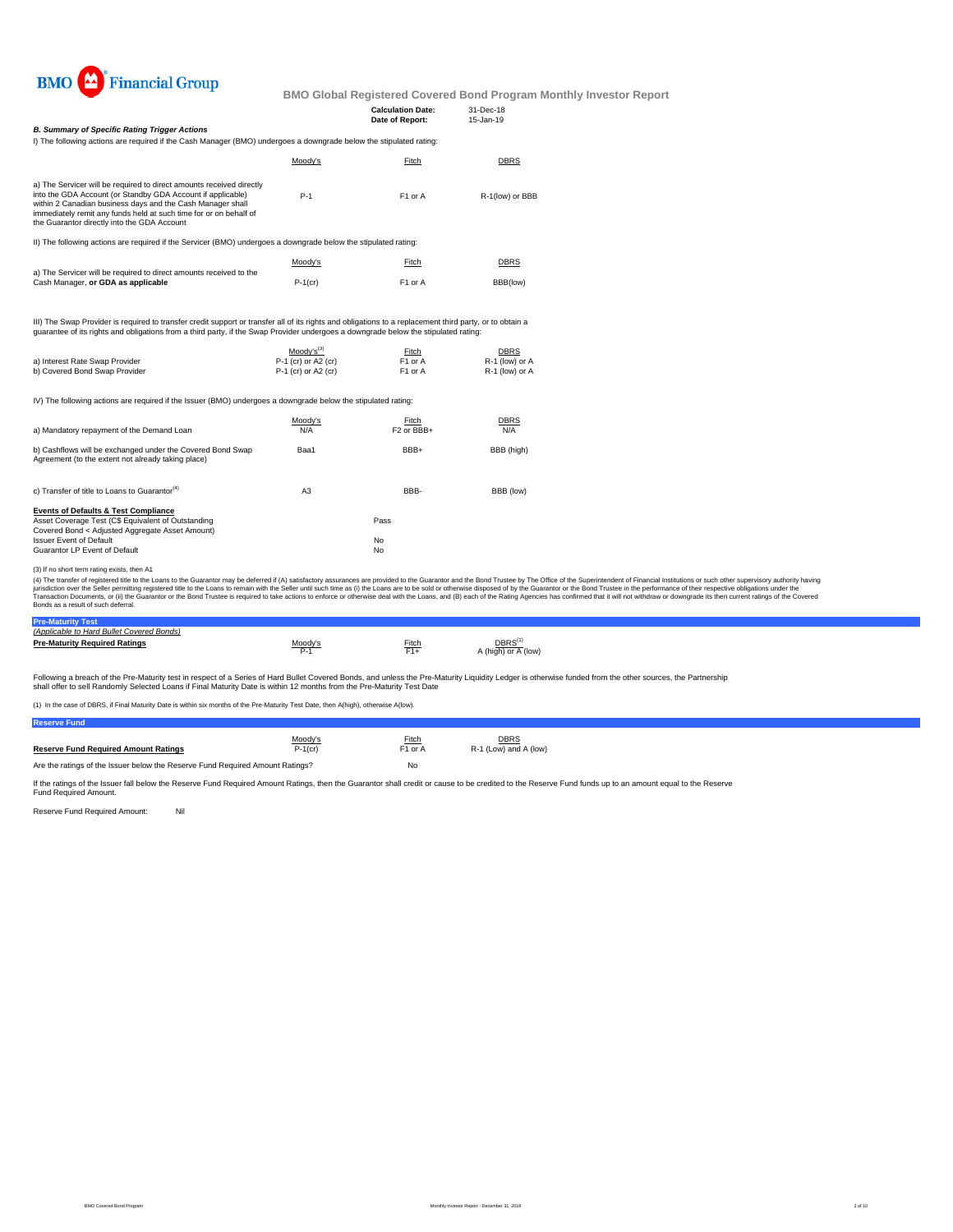

|                                                                                                                                                                                                                                                                                                                       |         | <b>Calculation Date:</b><br>Date of Report: | 31-Dec-18<br>$15 - Jan - 19$ |
|-----------------------------------------------------------------------------------------------------------------------------------------------------------------------------------------------------------------------------------------------------------------------------------------------------------------------|---------|---------------------------------------------|------------------------------|
| <b>B. Summary of Specific Rating Trigger Actions</b>                                                                                                                                                                                                                                                                  |         |                                             |                              |
| I) The following actions are required if the Cash Manager (BMO) undergoes a downgrade below the stipulated rating:                                                                                                                                                                                                    |         |                                             |                              |
|                                                                                                                                                                                                                                                                                                                       | Moodv's | Fitch                                       | <b>DBRS</b>                  |
| a) The Servicer will be required to direct amounts received directly<br>into the GDA Account (or Standby GDA Account if applicable)<br>within 2 Canadian business days and the Cash Manager shall<br>immediately remit any funds held at such time for or on behalf of<br>the Guarantor directly into the GDA Account | $P-1$   | F <sub>1</sub> or A                         | R-1(low) or BBB              |
| II) The following actions are required if the Servicer (BMO) undergoes a downgrade below the stipulated rating:                                                                                                                                                                                                       |         |                                             |                              |
| a) The Servicer will be required to direct amounts received to the                                                                                                                                                                                                                                                    | Moodv's | Fitch                                       | <b>DBRS</b>                  |

III) The Swap Provider is required to transfer credit support or transfer all of its rights and obligations to a replacement third party, or to obtain a<br>guarantee of its rights and obligations from a third party, if the Sw

|                                | $Moodv's^{(3)}$       | Fitch               | <b>DBRS</b>    |
|--------------------------------|-----------------------|---------------------|----------------|
| a) Interest Rate Swap Provider | $P-1$ (cr) or A2 (cr) | F <sub>1</sub> or A | R-1 (low) or A |
| b) Covered Bond Swap Provider  | $P-1$ (cr) or A2 (cr) | F <sub>1</sub> or A | R-1 (low) or A |

IV) The following actions are required if the Issuer (BMO) undergoes a downgrade below the stipulated rating:

| a) Mandatory repayment of the Demand Loan                                                                                                                                                                                   | Moody's<br>N/A | Fitch<br>F <sub>2</sub> or BB <sub>B+</sub> | <b>DBRS</b><br>N/A |
|-----------------------------------------------------------------------------------------------------------------------------------------------------------------------------------------------------------------------------|----------------|---------------------------------------------|--------------------|
| b) Cashflows will be exchanged under the Covered Bond Swap<br>Agreement (to the extent not already taking place)                                                                                                            | Baa1           | BBB+                                        | BBB (high)         |
| c) Transfer of title to Loans to Guarantor <sup>(4)</sup>                                                                                                                                                                   | A <sub>3</sub> | BBB-                                        | BBB (low)          |
| <b>Events of Defaults &amp; Test Compliance</b><br>Asset Coverage Test (C\$ Equivalent of Outstanding<br>Covered Bond < Adjusted Aggregate Asset Amount)<br><b>Issuer Event of Default</b><br>Guarantor LP Event of Default |                | Pass<br>No<br>No                            |                    |

(3) If no short term rating exists, then A1

Cash Manager, **or GDA as applicable**

(4) The transfer of registered tilte to the Loans to the Guarantor may be deferred if (A) satistadoy assurances are provided to the Guarantor and the Bond Trustee by the Odifice of the System Trustee in the performance of

P-1(cr) F1 or A BBB(low)

## **Pre-Maturity Test** *(Applicable to Hard Bullet Covered Bonds)*

| <u>IADDIICADIG tO HAIU DUIIGL COVGIGU DOITUST</u> |         |                    |                                           |
|---------------------------------------------------|---------|--------------------|-------------------------------------------|
| <b>Pre-Maturity Required Ratings</b>              | Moodv's | Fitch<br><b>FA</b> | DBRS <sup>(1</sup><br>A (high) or A (low) |

Following a breach of the Pre-Maturity test in respect of a Series of Hard Bullet Covered Bonds, and unless the Pre-Maturity Liquidity Ledger is otherwise funded from the other sources, the Partnership<br>shall offer to sell

(1) In the case of DBRS, if Final Maturity Date is within six months of the Pre-Maturity Test Date, then A(high), otherwise A(low).

| <b>Reserve Fund</b>                                                           |            |                     |                       |
|-------------------------------------------------------------------------------|------------|---------------------|-----------------------|
|                                                                               | Moody's    | <b>Fitch</b>        | <b>DBRS</b>           |
| <b>Reserve Fund Required Amount Ratings</b>                                   | $P-1$ (cr) | F <sub>1</sub> or A | R-1 (Low) and A (low) |
| Are the ratings of the Issuer below the Reserve Fund Required Amount Ratings? |            | No                  |                       |

If the ratings of the Issuer fall below the Reserve Fund Required Amount Ratings, then the Guarantor shall credit or cause to be credited to the Reserve Fund funds up to an amount equal to the Reserve<br>Fund Required Amount.

Reserve Fund Required Amount: Nil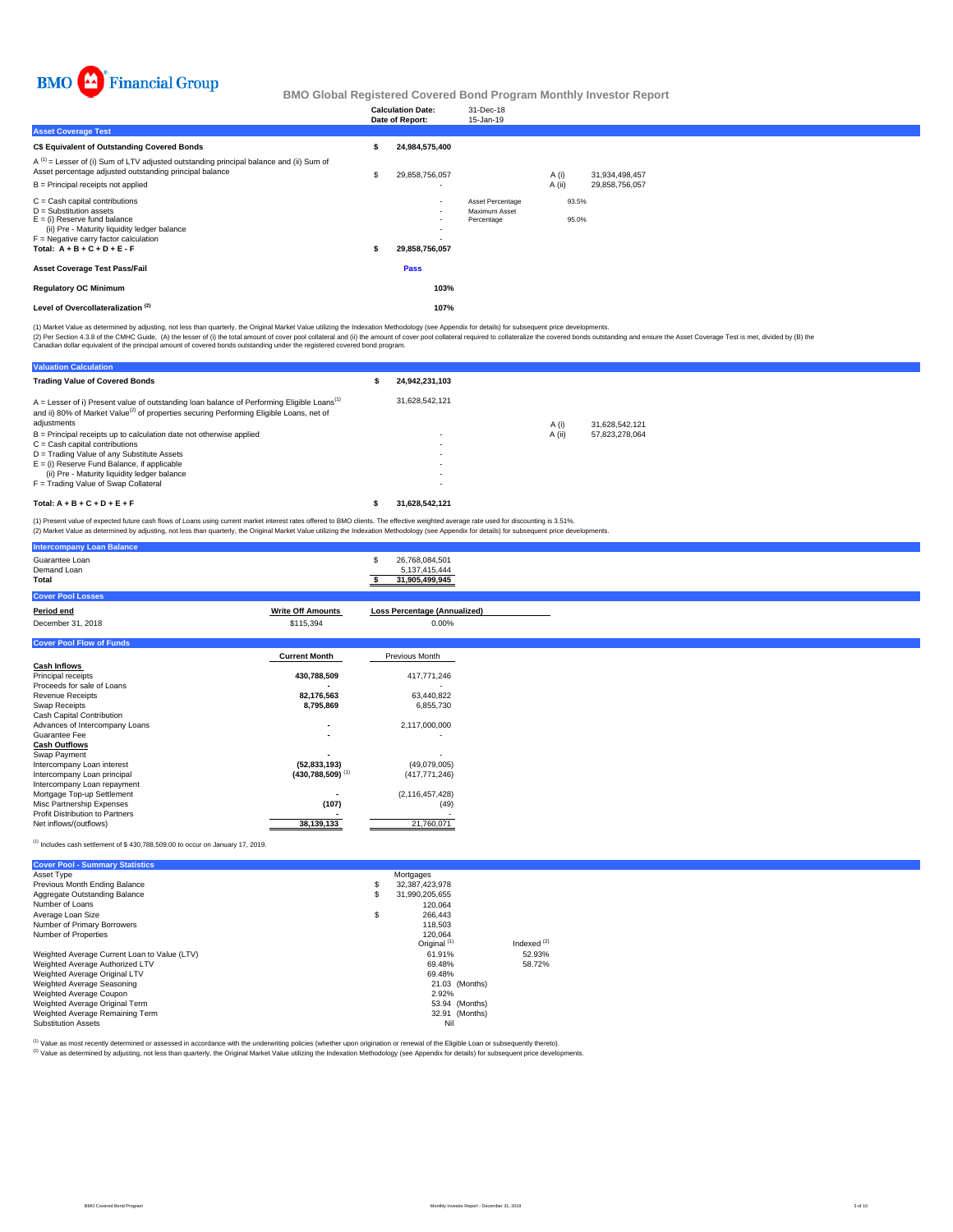

|                                                                                                                                                                                                                              | <b>Calculation Date:</b><br>Date of Report: | 31-Dec-18<br>15-Jan-19                          |                |                |  |  |
|------------------------------------------------------------------------------------------------------------------------------------------------------------------------------------------------------------------------------|---------------------------------------------|-------------------------------------------------|----------------|----------------|--|--|
| <b>Asset Coverage Test</b>                                                                                                                                                                                                   |                                             |                                                 |                |                |  |  |
| C\$ Equivalent of Outstanding Covered Bonds                                                                                                                                                                                  | 24,984,575,400                              |                                                 |                |                |  |  |
| $A^{(1)}$ = Lesser of (i) Sum of LTV adjusted outstanding principal balance and (ii) Sum of<br>Asset percentage adjusted outstanding principal balance                                                                       | 29,858,756,057                              |                                                 | A (i)          | 31,934,498,457 |  |  |
| B = Principal receipts not applied                                                                                                                                                                                           |                                             |                                                 | A (ii)         | 29,858,756,057 |  |  |
| $C =$ Cash capital contributions<br>$D =$ Substitution assets<br>$E =$ (i) Reserve fund balance<br>(ii) Pre - Maturity liquidity ledger balance<br>$F =$ Negative carry factor calculation<br>Total: $A + B + C + D + E - F$ | $\sim$<br>$\sim$<br>29,858,756,057          | Asset Percentage<br>Maximum Asset<br>Percentage | 93.5%<br>95.0% |                |  |  |
| <b>Asset Coverage Test Pass/Fail</b>                                                                                                                                                                                         | Pass                                        |                                                 |                |                |  |  |
| <b>Regulatory OC Minimum</b>                                                                                                                                                                                                 | 103%                                        |                                                 |                |                |  |  |
| Level of Overcollateralization <sup>(2)</sup>                                                                                                                                                                                | 107%                                        |                                                 |                |                |  |  |

(1) Market Value as determined by adjusting, not less than quarterly, the Original Market Value utilizing the Indexation Methodology (see Appendix for details) for subsequent price developments.

(2) Per Section 4.3.8 of the CMHC Guide, (A) the lesser of (i) the total amount of cover pool collateral and (ii) the amount of cover pool collateral required to collateralize the covered bonds outstanding and ensure the A

| <b>Valuation Calculation</b>                                                                                                                                                                                                   |                |        |                |  |
|--------------------------------------------------------------------------------------------------------------------------------------------------------------------------------------------------------------------------------|----------------|--------|----------------|--|
| <b>Trading Value of Covered Bonds</b>                                                                                                                                                                                          | 24.942.231.103 |        |                |  |
| $A =$ Lesser of i) Present value of outstanding loan balance of Performing Eligible Loans <sup>(1)</sup><br>and ii) 80% of Market Value <sup>(2)</sup> of properties securing Performing Eligible Loans, net of<br>adjustments | 31.628.542.121 | A (i)  | 31,628,542,121 |  |
| $B =$ Principal receipts up to calculation date not otherwise applied                                                                                                                                                          |                | A (ii) | 57.823.278.064 |  |
| $C = Cash$ capital contributions                                                                                                                                                                                               |                |        |                |  |
| D = Trading Value of any Substitute Assets                                                                                                                                                                                     |                |        |                |  |
| $E =$ (i) Reserve Fund Balance, if applicable                                                                                                                                                                                  | . .            |        |                |  |
| (ii) Pre - Maturity liquidity ledger balance                                                                                                                                                                                   |                |        |                |  |
| F = Trading Value of Swap Collateral                                                                                                                                                                                           | . .            |        |                |  |
| Total: $A + B + C + D + E + F$                                                                                                                                                                                                 | 31.628.542.121 |        |                |  |

(1) Present value of expected future cash flows of Loans using current market interest rates offered to BMO clients. The effective weighted average rate used for discounting is 3.51%.<br>(2) Market Value as determined by adju

| <b>Intercompany Loan Balance</b>                        |                                |                                                        |
|---------------------------------------------------------|--------------------------------|--------------------------------------------------------|
| Guarantee Loan<br>Demand Loan<br>Total                  |                                | 26,768,084,501<br>S<br>5,137,415,444<br>31,905,499,945 |
| <b>Cover Pool Losses</b>                                |                                |                                                        |
| Period end                                              | <b>Write Off Amounts</b>       | <b>Loss Percentage (Annualized)</b>                    |
| December 31, 2018                                       | \$115,394                      | $0.00\%$                                               |
| <b>Cover Pool Flow of Funds</b>                         |                                |                                                        |
|                                                         | <b>Current Month</b>           | Previous Month                                         |
| <b>Cash Inflows</b>                                     |                                |                                                        |
| Principal receipts                                      | 430,788,509                    | 417,771,246                                            |
| Proceeds for sale of Loans                              |                                |                                                        |
| <b>Revenue Receipts</b>                                 | 82,176,563                     | 63,440,822                                             |
| Swap Receipts                                           | 8,795,869                      | 6,855,730                                              |
| Cash Capital Contribution                               |                                |                                                        |
| Advances of Intercompany Loans                          |                                | 2,117,000,000                                          |
| Guarantee Fee                                           |                                | ٠                                                      |
| <b>Cash Outflows</b>                                    |                                |                                                        |
| Swap Payment                                            |                                |                                                        |
| Intercompany Loan interest                              | (52, 833, 193)                 | (49,079,005)                                           |
| Intercompany Loan principal                             | $(430,788,509)$ <sup>(1)</sup> | (417, 771, 246)                                        |
| Intercompany Loan repayment                             |                                |                                                        |
| Mortgage Top-up Settlement<br>Misc Partnership Expenses | (107)                          | (2, 116, 457, 428)<br>(49)                             |
| Profit Distribution to Partners                         |                                |                                                        |
| Net inflows/(outflows)                                  | 38,139,133                     | 21,760,071                                             |
|                                                         |                                |                                                        |

## (1) Includes cash settlement of \$ 430,788,509.00 to occur on January 17, 2019.

| <b>Cover Pool - Summary Statistics</b>       |                         |               |
|----------------------------------------------|-------------------------|---------------|
| Asset Type                                   | Mortgages               |               |
| Previous Month Ending Balance                | \$<br>32,387,423,978    |               |
| Aggregate Outstanding Balance                | \$<br>31.990.205.655    |               |
| Number of Loans                              | 120.064                 |               |
| Average Loan Size                            | \$<br>266,443           |               |
| Number of Primary Borrowers                  | 118,503                 |               |
| Number of Properties                         | 120.064                 |               |
|                                              | Original <sup>(1)</sup> | Indexed $(2)$ |
| Weighted Average Current Loan to Value (LTV) | 61.91%                  | 52.93%        |
| Weighted Average Authorized LTV              | 69.48%                  | 58.72%        |
| Weighted Average Original LTV                | 69.48%                  |               |
| Weighted Average Seasoning                   | 21.03 (Months)          |               |
| Weighted Average Coupon                      | 2.92%                   |               |
| Weighted Average Original Term               | 53.94 (Months)          |               |
| Weighted Average Remaining Term              | 32.91 (Months)          |               |
| <b>Substitution Assets</b>                   | Nil                     |               |

(1) Value as most recently determined or assessed in accordance with the underwriting policies (whether upon origination or renewal of the Eligible Loan or subsequently thereto).

Value as incorrection documents of documents in the children as the children of the United States of the Indexation Methodology (see Appendix for details) for subsequent price developments.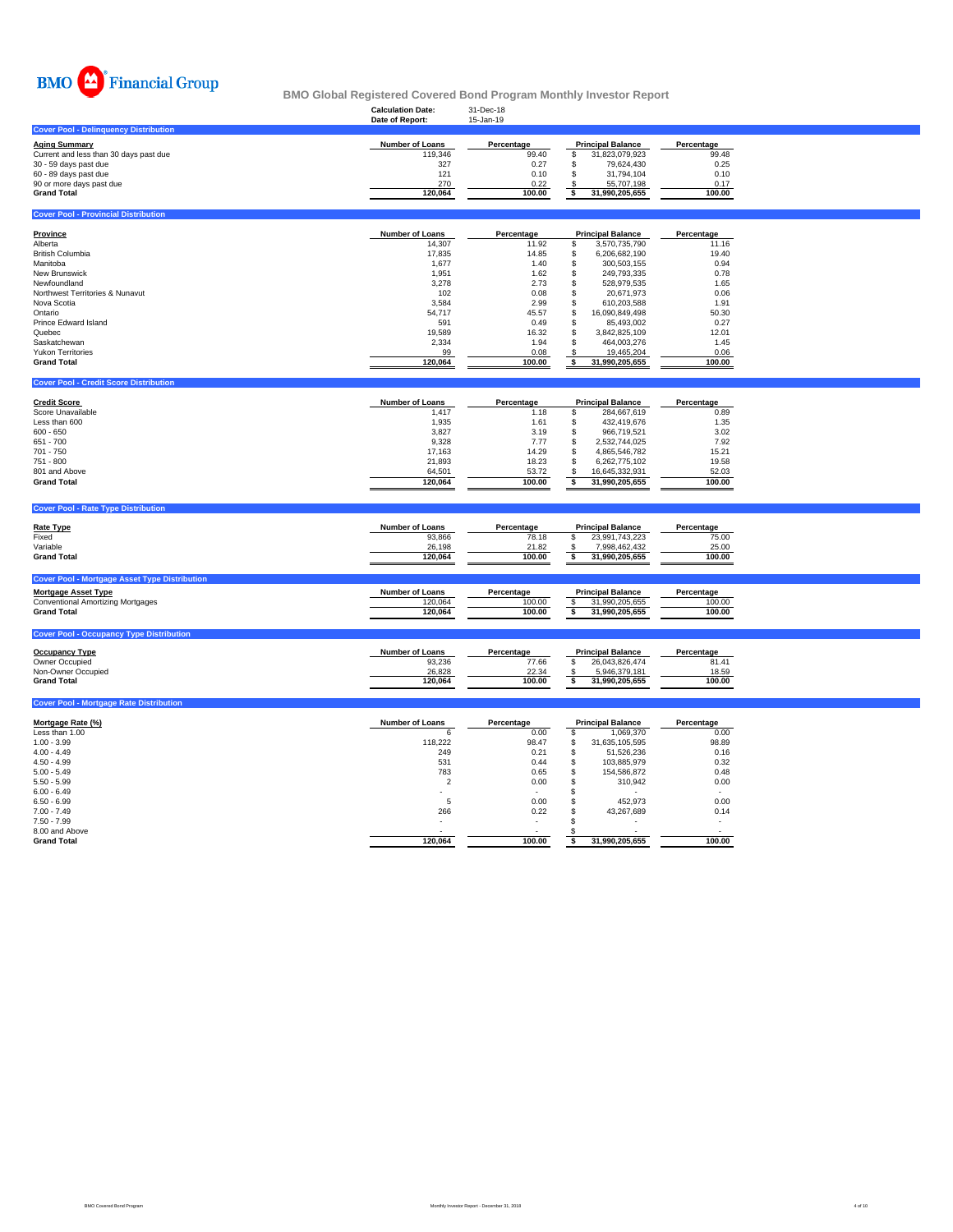

### **Calculation Date:** 31-Dec-18 **BMO Global Registered Covered Bond Program Monthly Investor Report**

|                                              | Date of Report:        | 15-Jan-19  |   |                          |            |
|----------------------------------------------|------------------------|------------|---|--------------------------|------------|
| <b>Cover Pool - Delinquency Distribution</b> |                        |            |   |                          |            |
| <b>Aging Summary</b>                         | <b>Number of Loans</b> | Percentage |   | <b>Principal Balance</b> | Percentage |
| Current and less than 30 days past due       | 119,346                | 99.40      | Ф | 31.823.079.923           | 99.48      |
| 30 - 59 days past due                        | 327                    | 0.27       | л | 79.624.430               | 0.25       |
| 60 - 89 days past due                        | 121                    | 0.10       | æ | 31.794.104               | 0.10       |
| 90 or more days past due                     | 270                    | 0.22       |   | 55.707.198               | 0.17       |
| <b>Grand Total</b>                           | 120.064                | 100.00     |   | 31.990.205.655           | 100.00     |
|                                              |                        |            |   |                          |            |
| <b>Cover Pool - Provincial Distribution</b>  |                        |            |   |                          |            |

| Province                        | <b>Number of Loans</b> | Percentage |   | <b>Principal Balance</b> | Percentage |
|---------------------------------|------------------------|------------|---|--------------------------|------------|
| Alberta                         | 14,307                 | 11.92      |   | 3.570.735.790            | 11.16      |
| <b>British Columbia</b>         | 17.835                 | 14.85      |   | 6.206.682.190            | 19.40      |
| Manitoba                        | 1,677                  | 1.40       |   | 300.503.155              | 0.94       |
| <b>New Brunswick</b>            | 1.951                  | 1.62       |   | 249.793.335              | 0.78       |
| Newfoundland                    | 3,278                  | 2.73       |   | 528.979.535              | 1.65       |
| Northwest Territories & Nunavut | 102                    | 0.08       |   | 20.671.973               | 0.06       |
| Nova Scotia                     | 3,584                  | 2.99       | ъ | 610.203.588              | 1.91       |
| Ontario                         | 54.717                 | 45.57      |   | 16.090.849.498           | 50.30      |
| Prince Edward Island            | 591                    | 0.49       |   | 85.493.002               | 0.27       |
| Quebec                          | 19,589                 | 16.32      |   | 3.842.825.109            | 12.01      |
| Saskatchewan                    | 2.334                  | 1.94       |   | 464.003.276              | 1.45       |
| <b>Yukon Territories</b>        | 99                     | 0.08       |   | 19,465,204               | 0.06       |
| <b>Grand Total</b>              | 120.064                | 100.00     |   | 31.990.205.655           | 100.00     |

| <b>Cover Pool - Credit Score Distribution</b> |                        |            |                          |            |
|-----------------------------------------------|------------------------|------------|--------------------------|------------|
| <b>Credit Score</b>                           | <b>Number of Loans</b> | Percentage | <b>Principal Balance</b> | Percentage |
| Score Unavailable                             | 1,417                  | 1.18       | 284.667.619              | 0.89       |
| Less than 600                                 | 1,935                  | 1.61       | 432.419.676              | 1.35       |
| $600 - 650$                                   | 3.827                  | 3.19       | 966.719.521              | 3.02       |
| 651 - 700                                     | 9.328                  | 7.77       | 2.532.744.025            | 7.92       |
| 701 - 750                                     | 17.163                 | 14.29      | 4.865.546.782            | 15.21      |
| 751 - 800                                     | 21.893                 | 18.23      | 6.262.775.102            | 19.58      |
| 801 and Above                                 | 64,501                 | 53.72      | 16.645.332.931           | 52.03      |
| <b>Grand Total</b>                            | 120.064                | 100.00     | 31.990.205.655           | 100.00     |

| <b>Cover Pool - Rate Type Distribution</b>                                                                                                           |                                                       |                                        |                                                                               |                                        |  |
|------------------------------------------------------------------------------------------------------------------------------------------------------|-------------------------------------------------------|----------------------------------------|-------------------------------------------------------------------------------|----------------------------------------|--|
| <b>Rate Type</b><br>Fixed<br>Variable<br><b>Grand Total</b>                                                                                          | <b>Number of Loans</b><br>93.866<br>26,198<br>120.064 | Percentage<br>78.18<br>21.82<br>100.00 | <b>Principal Balance</b><br>23,991,743,223<br>7.998.462.432<br>31,990,205,655 | Percentage<br>75.00<br>25.00<br>100.00 |  |
| <b>Cover Pool - Mortgage Asset Type Distribution</b><br><b>Mortgage Asset Type</b><br><b>Conventional Amortizing Mortgages</b><br><b>Grand Total</b> | <b>Number of Loans</b><br>120.064<br>120.064          | Percentage<br>100.00<br>100.00         | <b>Principal Balance</b><br>31.990.205.655<br>31,990,205,655                  | Percentage<br>100.00<br>100.00         |  |
| <b>Cover Pool - Occupancy Type Distribution</b>                                                                                                      |                                                       |                                        |                                                                               |                                        |  |

| <b>Occupancy Type</b> | <b>Number of Loans</b> | Percentage | <b>Principal Balance</b> | Percentage |
|-----------------------|------------------------|------------|--------------------------|------------|
| Owner Occupied        | 93.236                 | 77.66      | 26.043.826.474           | 81.41      |
| Non-Owner Occupied    | 26,828                 | 22.34      | 5.946.379.181            | 18.59      |
| <b>Grand Total</b>    | 120.064                | 100.00     | 31.990.205.655           | 100.00     |
|                       |                        |            |                          |            |

| <b>Cover Pool - Mortgage Rate Distribution</b> |                        |            |     |                          |            |
|------------------------------------------------|------------------------|------------|-----|--------------------------|------------|
| Mortgage Rate (%)                              | <b>Number of Loans</b> | Percentage |     | <b>Principal Balance</b> | Percentage |
| Less than 1.00                                 | 6                      | 0.00       |     | 1.069.370                | 0.00       |
| $1.00 - 3.99$                                  | 118,222                | 98.47      | £.  | 31.635.105.595           | 98.89      |
| $4.00 - 4.49$                                  | 249                    | 0.21       | ä.  | 51,526,236               | 0.16       |
| $4.50 - 4.99$                                  | 531                    | 0.44       | \$. | 103.885.979              | 0.32       |
| $5.00 - 5.49$                                  | 783                    | 0.65       | \$  | 154.586.872              | 0.48       |
| $5.50 - 5.99$                                  | $\overline{2}$         | 0.00       | S   | 310.942                  | 0.00       |
| $6.00 - 6.49$                                  | ۰                      | . .        |     | $\sim$                   |            |
| $6.50 - 6.99$                                  | 5                      | 0.00       |     | 452,973                  | 0.00       |
| $7.00 - 7.49$                                  | 266                    | 0.22       |     | 43.267.689               | 0.14       |
| $7.50 - 7.99$                                  |                        |            |     | $\sim$                   |            |
| 8.00 and Above                                 |                        |            |     |                          |            |
| <b>Grand Total</b>                             | 120,064                | 100.00     |     | 31,990,205,655           | 100.00     |
|                                                |                        |            |     |                          |            |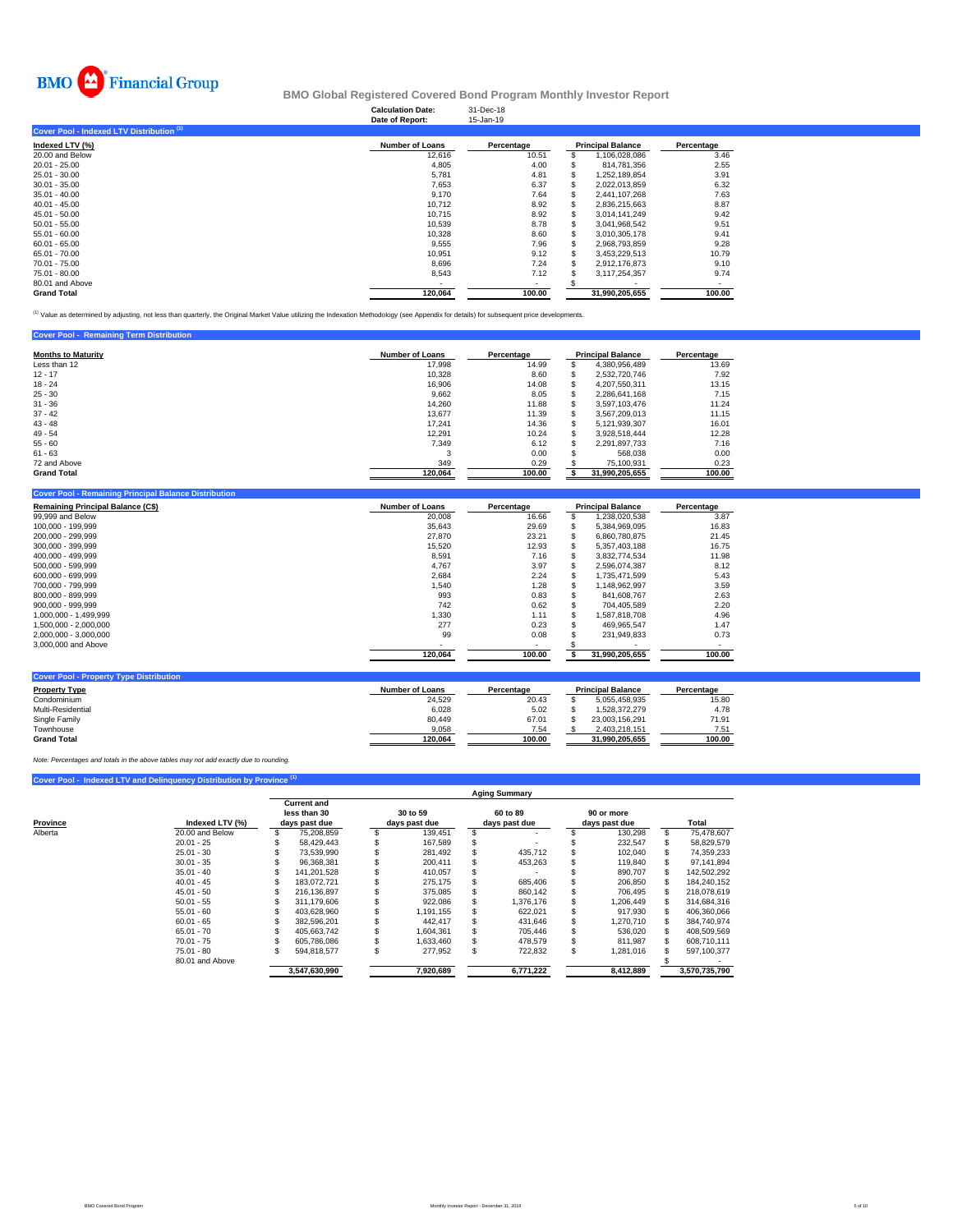

### **Calculation Date:** 31-Dec-18 **BMO Global Registered Covered Bond Program Monthly Investor Report**

|                                           | Date of Report:        | 15-Jan-19  |                          |            |
|-------------------------------------------|------------------------|------------|--------------------------|------------|
| Cover Pool - Indexed LTV Distribution (1) |                        |            |                          |            |
| Indexed LTV (%)                           | <b>Number of Loans</b> | Percentage | <b>Principal Balance</b> | Percentage |
| 20.00 and Below                           | 12,616                 | 10.51      | 1,106,028,086            | 3.46       |
| $20.01 - 25.00$                           | 4,805                  | 4.00       | 814.781.356              | 2.55       |
| 25.01 - 30.00                             | 5,781                  | 4.81       | 1.252.189.854            | 3.91       |
| $30.01 - 35.00$                           | 7.653                  | 6.37       | 2.022.013.859            | 6.32       |
| $35.01 - 40.00$                           | 9,170                  | 7.64       | 2,441,107,268            | 7.63       |
| $40.01 - 45.00$                           | 10.712                 | 8.92       | 2,836,215,663            | 8.87       |
| 45.01 - 50.00                             | 10.715                 | 8.92       | 3.014.141.249            | 9.42       |
| $50.01 - 55.00$                           | 10,539                 | 8.78       | 3,041,968,542            | 9.51       |
| $55.01 - 60.00$                           | 10.328                 | 8.60       | 3.010.305.178            | 9.41       |
| $60.01 - 65.00$                           | 9,555                  | 7.96       | 2,968,793,859            | 9.28       |
| 65.01 - 70.00                             | 10.951                 | 9.12       | 3,453,229,513            | 10.79      |
| 70.01 - 75.00                             | 8,696                  | 7.24       | 2,912,176,873            | 9.10       |
| 75.01 - 80.00                             | 8,543                  | 7.12       | 3,117,254,357            | 9.74       |
| 80.01 and Above                           |                        |            |                          |            |
| <b>Grand Total</b>                        | 120,064                | 100.00     | 31.990.205.655           | 100.00     |

<sup>(1)</sup> Value as determined by adjusting, not less than quarterly, the Original Market Value utilizing the Indexation Methodology (see Appendix for details) for subsequent price developments.

| <b>Cover Pool - Remaining Term Distribution</b> |                        |            |   |                          |            |
|-------------------------------------------------|------------------------|------------|---|--------------------------|------------|
| <b>Months to Maturity</b>                       | <b>Number of Loans</b> | Percentage |   | <b>Principal Balance</b> | Percentage |
| Less than 12                                    | 17,998                 | 14.99      | S | 4.380.956.489            | 13.69      |
| $12 - 17$                                       | 10,328                 | 8.60       | S | 2.532.720.746            | 7.92       |
| $18 - 24$                                       | 16,906                 | 14.08      | S | 4.207.550.311            | 13.15      |
| $25 - 30$                                       | 9,662                  | 8.05       |   | 2.286.641.168            | 7.15       |
| $31 - 36$                                       | 14.260                 | 11.88      |   | 3.597.103.476            | 11.24      |
| $37 - 42$                                       | 13,677                 | 11.39      |   | 3.567.209.013            | 11.15      |
| $43 - 48$                                       | 17.241                 | 14.36      | S | 5.121.939.307            | 16.01      |
| $49 - 54$                                       | 12.291                 | 10.24      |   | 3.928.518.444            | 12.28      |
| $55 - 60$                                       | 7.349                  | 6.12       |   | 2.291.897.733            | 7.16       |
| $61 - 63$                                       | 3                      | 0.00       |   | 568.038                  | 0.00       |
| 72 and Above                                    | 349                    | 0.29       |   | 75.100.931               | 0.23       |
| <b>Grand Total</b>                              | 120,064                | 100.00     |   | 31,990,205,655           | 100.00     |

| <b>Remaining Principal Balance (C\$)</b> | <b>Number of Loans</b> | Percentage | <b>Principal Balance</b> | Percentage |
|------------------------------------------|------------------------|------------|--------------------------|------------|
| 99,999 and Below                         | 20,008                 | 16.66      | 1,238,020,538            | 3.87       |
| 100.000 - 199.999                        | 35,643                 | 29.69      | 5,384,969,095            | 16.83      |
| 200.000 - 299.999                        | 27.870                 | 23.21      | 6.860.780.875            | 21.45      |
| 300.000 - 399.999                        | 15,520                 | 12.93      | 5.357.403.188            | 16.75      |
| 400.000 - 499.999                        | 8,591                  | 7.16       | 3,832,774,534            | 11.98      |
| 500.000 - 599.999                        | 4,767                  | 3.97       | 2,596,074,387            | 8.12       |
| 600.000 - 699.999                        | 2,684                  | 2.24       | 1.735.471.599            | 5.43       |
| 700.000 - 799.999                        | 1,540                  | 1.28       | 1.148.962.997            | 3.59       |
| 800.000 - 899.999                        | 993                    | 0.83       | 841,608,767              | 2.63       |
| $900.000 - 999.999$                      | 742                    | 0.62       | 704.405.589              | 2.20       |
| 1.000.000 - 1.499.999                    | 1.330                  | 1.11       | 1.587.818.708            | 4.96       |
| 1.500.000 - 2.000.000                    | 277                    | 0.23       | 469.965.547              | 1.47       |
| 2,000,000 - 3,000,000                    | 99                     | 0.08       | 231.949.833              | 0.73       |
| 3,000,000 and Above                      | ۰                      | $\sim$     |                          |            |
|                                          | 120,064                | 100.00     | 31.990.205.655           | 100.00     |

| <b>Cover Pool - Property Type Distribution</b> |                 |            |                          |            |
|------------------------------------------------|-----------------|------------|--------------------------|------------|
| <b>Property Type</b>                           | Number of Loans | Percentage | <b>Principal Balance</b> | Percentage |
| Condominium                                    | 24.529          | 20.43      | 5.055.458.935            | 15.80      |
| Multi-Residential                              | 6.028           | 5.02       | 1.528.372.279            | 4.78       |
| Single Family                                  | 80.449          | 67.01      | 23.003.156.291           | 71.91      |
| Townhouse                                      | 9,058           | 7.54       | 2.403.218.151            | 7.51       |
| <b>Grand Total</b>                             | 120.064         | 100.00     | 31.990.205.655           | 100.00     |

*Note: Percentages and totals in the above tables may not add exactly due to rounding.*

## **Cover Pool - Indexed LTV and Delinquency Distribution by Province**

|          |                 | <b>Aging Summary</b> |                                    |  |               |   |               |  |               |     |               |
|----------|-----------------|----------------------|------------------------------------|--|---------------|---|---------------|--|---------------|-----|---------------|
|          |                 |                      | <b>Current and</b><br>less than 30 |  | 30 to 59      |   | 60 to 89      |  | 90 or more    |     |               |
| Province | Indexed LTV (%) |                      | days past due                      |  | days past due |   | days past due |  | days past due |     | Total         |
| Alberta  | 20.00 and Below | £.                   | 75.208.859                         |  | 139.451       |   |               |  | 130.298       | \$. | 75.478.607    |
|          | $20.01 - 25$    |                      | 58.429.443                         |  | 167.589       |   |               |  | 232,547       | S.  | 58,829,579    |
|          | $25.01 - 30$    |                      | 73.539.990                         |  | 281,492       |   | 435.712       |  | 102,040       |     | 74,359,233    |
|          | $30.01 - 35$    |                      | 96.368.381                         |  | 200.411       |   | 453.263       |  | 119,840       |     | 97.141.894    |
|          | $35.01 - 40$    |                      | 141.201.528                        |  | 410.057       |   |               |  | 890.707       |     | 142.502.292   |
|          | $40.01 - 45$    |                      | 183.072.721                        |  | 275.175       |   | 685.406       |  | 206,850       |     | 184.240.152   |
|          | $45.01 - 50$    |                      | 216.136.897                        |  | 375.085       |   | 860.142       |  | 706.495       |     | 218.078.619   |
|          | $50.01 - 55$    |                      | 311.179.606                        |  | 922,086       |   | 1,376,176     |  | 1,206,449     |     | 314,684,316   |
|          | $55.01 - 60$    |                      | 403.628.960                        |  | 1.191.155     |   | 622.021       |  | 917.930       |     | 406.360.066   |
|          | $60.01 - 65$    |                      | 382.596.201                        |  | 442.417       |   | 431.646       |  | 1.270.710     |     | 384,740,974   |
|          | $65.01 - 70$    |                      | 405.663.742                        |  | 1,604,361     |   | 705.446       |  | 536.020       |     | 408.509.569   |
|          | $70.01 - 75$    |                      | 605.786.086                        |  | 1.633.460     |   | 478.579       |  | 811.987       |     | 608.710.111   |
|          | $75.01 - 80$    |                      | 594.818.577                        |  | 277,952       | S | 722,832       |  | 1,281,016     |     | 597,100,377   |
|          | 80.01 and Above |                      |                                    |  |               |   |               |  |               |     |               |
|          |                 |                      | 3.547.630.990                      |  | 7.920.689     |   | 6.771.222     |  | 8.412.889     |     | 3.570.735.790 |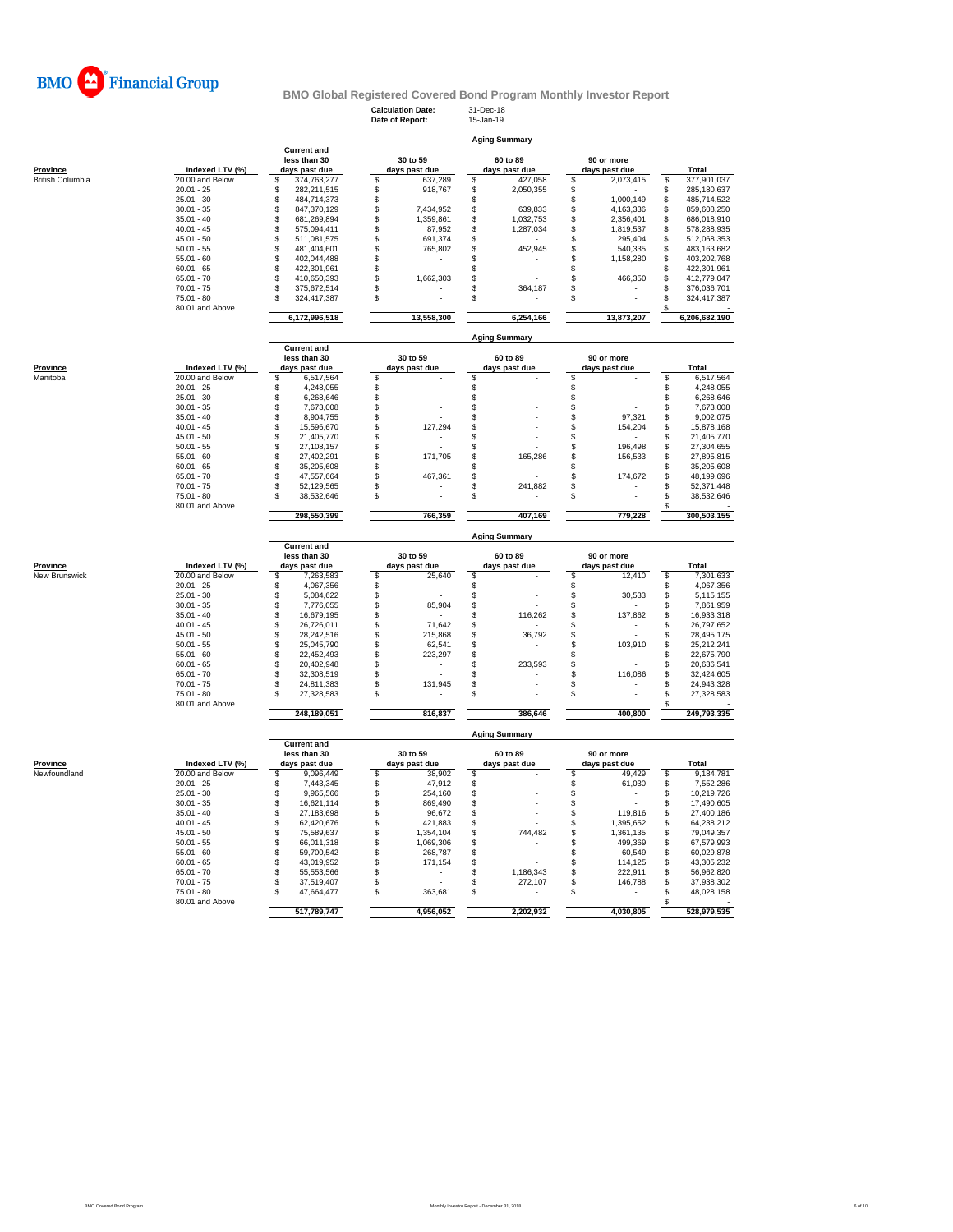

**Calculation Date:** 31-Dec-18 **Date of Report:** 15-Jan-19

**Aging Summary**

|                          |                                 | <b>Current and</b><br>less than 30 |              | 30 to 59                 | 60 to 89                       | 90 or more                     |                        |
|--------------------------|---------------------------------|------------------------------------|--------------|--------------------------|--------------------------------|--------------------------------|------------------------|
| <b>Province</b>          | Indexed LTV (%)                 | days past due                      |              | days past due            | days past due                  | days past due                  | Total                  |
| <b>British Columbia</b>  | 20.00 and Below                 | 374,763,277<br>\$                  | \$           | 637,289                  | \$<br>427,058                  | \$<br>2,073,415                | 377,901,037<br>\$      |
|                          | $20.01 - 25$                    | \$<br>282,211,515                  | \$           | 918,767                  | \$<br>2,050,355                | \$                             | 285,180,637<br>\$      |
|                          | $25.01 - 30$                    | \$<br>484,714,373                  | \$           |                          | \$                             | \$<br>1,000,149                | \$<br>485,714,522      |
|                          | $30.01 - 35$                    | \$<br>847,370,129                  | \$           | 7,434,952                | \$<br>639,833                  | \$<br>4,163,336                | \$<br>859,608,250      |
|                          | $35.01 - 40$                    | \$<br>681,269,894                  | \$           | 1,359,861                | \$<br>1,032,753                | \$<br>2,356,401                | \$<br>686,018,910      |
|                          |                                 |                                    |              |                          |                                |                                |                        |
|                          | $40.01 - 45$                    | \$<br>575,094,411                  | \$           | 87,952                   | \$<br>1,287,034                | \$<br>1,819,537                | \$<br>578,288,935      |
|                          | $45.01 - 50$                    | \$<br>511,081,575                  | \$           | 691,374                  | \$                             | \$<br>295,404                  | \$<br>512,068,353      |
|                          | $50.01 - 55$                    | \$<br>481,404,601                  | \$           | 765,802                  | S<br>452,945                   | \$<br>540,335                  | \$<br>483,163,682      |
|                          | $55.01 - 60$                    | \$<br>402,044,488                  | $\mathbb{S}$ | $\overline{\phantom{a}}$ | \$                             | \$<br>1,158,280                | \$<br>403,202,768      |
|                          | $60.01 - 65$                    | \$<br>422,301,961                  | \$           |                          | \$                             | \$                             | \$<br>422,301,961      |
|                          | $65.01 - 70$                    | \$<br>410,650,393                  | \$           | 1,662,303                | \$                             | \$<br>466,350                  | \$<br>412,779,047      |
|                          | $70.01 - 75$                    | \$<br>375,672,514                  | \$           |                          | \$<br>364,187                  | \$                             | \$<br>376,036,701      |
|                          | 75.01 - 80                      | \$<br>324,417,387                  | \$           |                          | \$                             | \$                             | \$<br>324,417,387      |
|                          | 80.01 and Above                 |                                    |              |                          |                                |                                | \$                     |
|                          |                                 | 6,172,996,518                      |              | 13,558,300               | 6,254,166                      | 13,873,207                     | 6,206,682,190          |
|                          |                                 |                                    |              |                          | <b>Aging Summary</b>           |                                |                        |
|                          |                                 | <b>Current and</b>                 |              |                          |                                |                                |                        |
|                          |                                 | less than 30                       |              | 30 to 59                 | 60 to 89                       | 90 or more                     |                        |
| Province                 | Indexed LTV (%)                 | days past due                      |              | days past due            | days past due                  | days past due                  | Total                  |
| Manitoba                 | 20.00 and Below                 | \$<br>6,517,564                    | \$           |                          | \$                             | \$                             | \$<br>6,517,564        |
|                          | $20.01 - 25$                    | \$<br>4,248,055                    | \$           |                          | \$                             | \$                             | 4,248,055<br>\$        |
|                          | $25.01 - 30$                    | \$<br>6,268,646                    | \$           |                          | \$                             | \$                             | \$<br>6,268,646        |
|                          | $30.01 - 35$                    | \$<br>7,673,008                    | \$           |                          | \$                             | \$                             | 7,673,008<br>\$        |
|                          | $35.01 - 40$                    | \$<br>8,904,755                    | \$           |                          | \$                             | \$<br>97,321                   | \$<br>9,002,075        |
|                          | $40.01 - 45$                    | \$<br>15,596,670                   | \$           | 127,294                  | \$                             | \$<br>154,204                  | \$<br>15,878,168       |
|                          | $45.01 - 50$                    | \$<br>21,405,770                   | \$           | ×,                       | \$                             | \$                             | \$<br>21,405,770       |
|                          | $50.01 - 55$                    | \$                                 | \$           |                          | \$                             | 196,498                        | \$                     |
|                          |                                 | 27,108,157                         |              |                          |                                | \$                             | 27,304,655             |
|                          | $55.01 - 60$                    | \$<br>27,402,291                   | \$           | 171,705                  | \$<br>165,286                  | \$<br>156,533                  | \$<br>27,895,815       |
|                          | $60.01 - 65$                    | \$<br>35,205,608                   | \$           |                          | \$<br>$\overline{\phantom{a}}$ | \$                             | 35,205,608<br>\$       |
|                          | $65.01 - 70$                    | \$<br>47,557,664                   | \$           | 467,361                  | \$                             | \$<br>174,672                  | \$<br>48,199,696       |
|                          | $70.01 - 75$                    | \$<br>52,129,565                   | \$           |                          | 241,882<br>\$                  | \$                             | \$<br>52,371,448       |
|                          | $75.01 - 80$                    | 38,532,646                         | \$           |                          | \$                             | \$                             | \$<br>38,532,646       |
|                          | 80.01 and Above                 | 298,550,399                        |              | 766,359                  | 407,169                        | 779,228                        | \$<br>300,503,155      |
|                          |                                 |                                    |              |                          |                                |                                |                        |
|                          |                                 | <b>Current and</b>                 |              |                          | <b>Aging Summary</b>           |                                |                        |
|                          |                                 | less than 30                       |              | 30 to 59                 | 60 to 89                       | 90 or more                     |                        |
| <b>Province</b>          | Indexed LTV (%)                 | days past due                      |              | days past due            | days past due                  | days past due                  | Total                  |
| New Brunswick            | 20.00 and Below                 | 7,263,583<br>\$                    | \$           | 25,640                   | \$                             | \$<br>12,410                   | \$<br>7,301,633        |
|                          | $20.01 - 25$                    | \$<br>4,067,356                    | \$           | ÷                        | \$                             | \$                             | \$<br>4,067,356        |
|                          | $25.01 - 30$                    | \$<br>5,084,622                    | \$           |                          | \$                             | \$<br>30,533                   | 5,115,155<br>\$        |
|                          | $30.01 - 35$                    | \$<br>7,776,055                    | \$           | 85,904                   | \$                             | \$<br>$\sim$                   | 7,861,959<br>\$        |
|                          | $35.01 - 40$                    | \$<br>16,679,195                   | \$           |                          | 116,262<br>\$                  | \$<br>137,862                  | 16,933,318<br>\$       |
|                          | $40.01 - 45$                    | \$<br>26,726,011                   | \$           | 71,642                   | \$                             | \$                             | \$<br>26,797,652       |
|                          | $45.01 - 50$                    | \$<br>28,242,516                   | \$           | 215,868                  |                                | \$<br>$\overline{a}$           |                        |
|                          |                                 |                                    |              |                          | 36,792                         |                                | 28,495,175             |
|                          |                                 |                                    |              |                          | \$<br>$\overline{a}$           |                                | \$                     |
|                          | $50.01 - 55$                    | \$<br>25,045,790                   | \$           | 62,541                   | \$                             | \$<br>103,910                  | \$<br>25,212,241       |
|                          | $55.01 - 60$                    | \$<br>22,452,493                   | \$           | 223,297                  | \$                             | \$                             | \$<br>22,675,790       |
|                          | $60.01 - 65$                    | \$<br>20,402,948                   | \$           | $\overline{\phantom{a}}$ | \$<br>233.593                  | \$                             | \$<br>20,636,541       |
|                          | $65.01 - 70$                    | \$<br>32,308,519                   | \$           |                          | \$                             | \$<br>116,086                  | \$<br>32,424,605       |
|                          | $70.01 - 75$                    | \$<br>24,811,383                   | \$           | 131,945                  | \$<br>÷                        | \$                             | \$<br>24,943,328       |
|                          | $75.01 - 80$<br>80.01 and Above | \$.<br>27,328,583                  | \$           |                          | \$                             | \$                             | \$<br>27,328,583<br>\$ |
|                          |                                 | 248,189,051                        |              | 816,837                  | 386,646                        | 400,800                        | 249,793,335            |
|                          |                                 |                                    |              |                          | <b>Aging Summary</b>           |                                |                        |
|                          |                                 | <b>Current and</b>                 |              |                          |                                |                                |                        |
|                          |                                 | less than 30                       |              | 30 to 59                 | 60 to 89                       | 90 or more                     |                        |
|                          | Indexed LTV (%)                 | days past due                      |              | days past due            | days past due                  | days past due                  | Total                  |
|                          | 20.00 and Below                 | 9,096,449<br>\$                    | \$           | 38,902                   | \$                             | \$<br>49,429                   | 9,184,781<br>\$        |
|                          | $20.01 - 25$                    | \$<br>7,443,345                    | \$           | 47,912                   | \$                             | \$<br>61,030                   | \$<br>7,552,286        |
|                          | $25.01 - 30$                    | \$<br>9,965,566                    | \$           | 254,160                  | \$                             | \$<br>$\overline{\phantom{a}}$ | \$<br>10,219,726       |
|                          | $30.01 - 35$                    | \$<br>16,621,114                   | \$           | 869,490                  | \$<br>÷.                       | \$<br>$\overline{a}$           | \$<br>17,490,605       |
|                          | $35.01 - 40$                    | \$<br>27,183,698                   | \$           | 96,672                   | \$                             | \$<br>119,816                  | \$<br>27,400,186       |
|                          | $40.01 - 45$                    | \$<br>62,420,676                   | \$           | 421,883                  | \$                             | \$<br>1,395,652                | \$<br>64,238,212       |
|                          | $45.01 - 50$                    | \$<br>75,589,637                   | \$           | 1,354,104                | 744,482<br>\$                  | \$<br>1,361,135                | \$<br>79,049,357       |
|                          | $50.01 - 55$                    | \$<br>66,011,318                   | \$           | 1,069,306                | \$                             | \$<br>499,369                  | 67,579,993             |
|                          | $55.01 - 60$                    | 59,700,542                         | \$           | 268,787                  | \$                             | \$<br>60,549                   | \$<br>60,029,878       |
|                          |                                 | \$                                 |              |                          |                                |                                | \$                     |
|                          | $60.01 - 65$                    | \$<br>43,019,952                   | \$           | 171,154                  | \$                             | \$<br>114,125                  | \$<br>43,305,232       |
|                          | $65.01 - 70$                    | \$<br>55,553,566                   | \$           |                          | \$<br>1,186,343                | \$<br>222,911                  | \$<br>56,962,820       |
|                          | $70.01 - 75$                    | \$<br>37,519,407                   | \$           |                          | \$<br>272,107                  | \$<br>146,788                  | \$<br>37,938,302       |
|                          | $75.01 - 80$                    | \$<br>47,664,477                   | \$           | 363,681                  | \$                             | \$                             | \$<br>48,028,158       |
| Province<br>Newfoundland | 80.01 and Above                 | 517,789,747                        |              | 4,956,052                | 2,202,932                      | 4,030,805                      | \$<br>528,979,535      |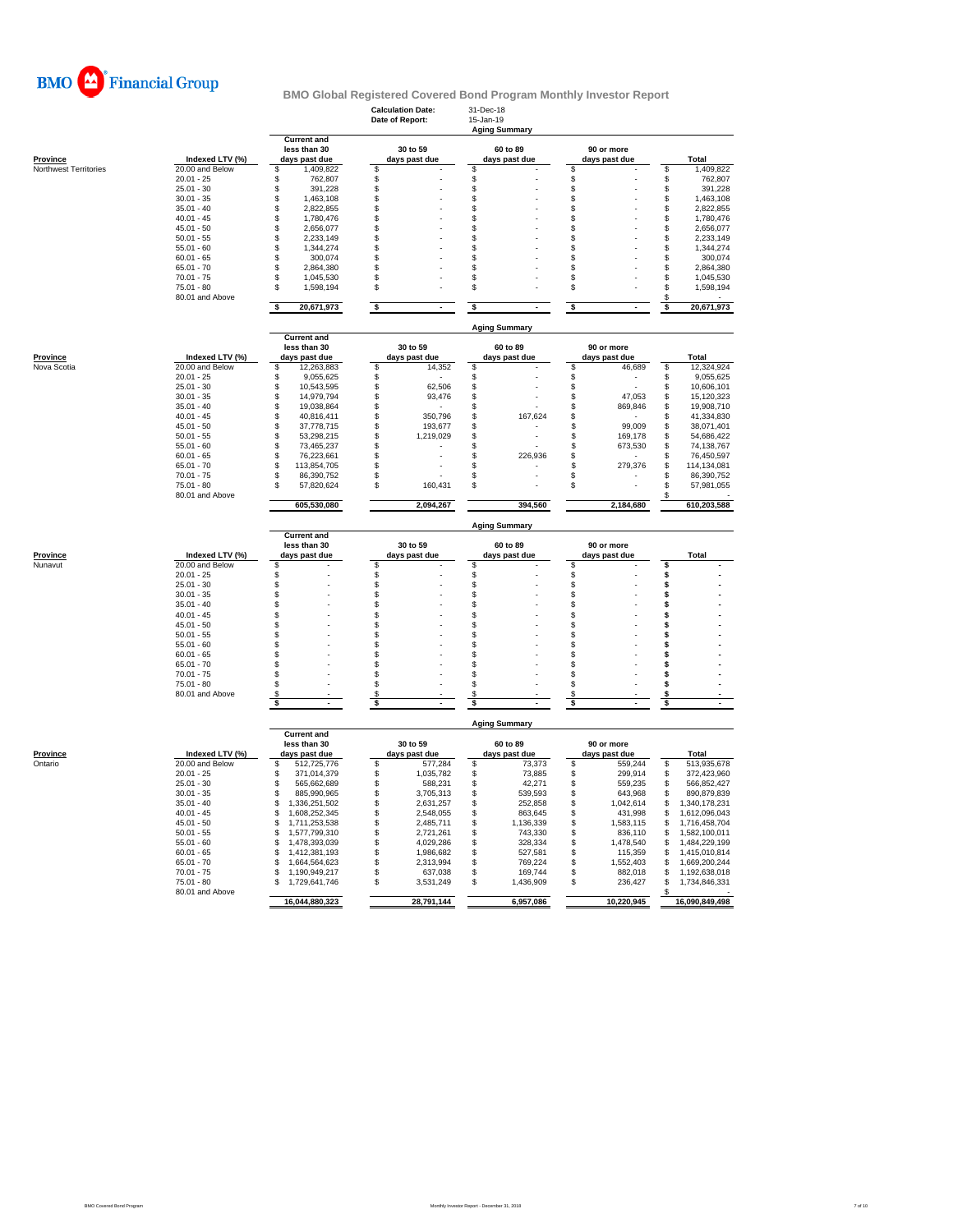

|                       |                                    |                                      | <b>Calculation Date:</b><br>Date of Report: | 31-Dec-18<br>15-Jan-19<br><b>Aging Summary</b> |                         |                                 |  |  |  |  |
|-----------------------|------------------------------------|--------------------------------------|---------------------------------------------|------------------------------------------------|-------------------------|---------------------------------|--|--|--|--|
|                       |                                    | <b>Current and</b><br>less than 30   | 30 to 59                                    | 60 to 89                                       | 90 or more              |                                 |  |  |  |  |
| <b>Province</b>       | Indexed LTV (%)<br>20.00 and Below | days past due<br>1,409,822<br>\$     | days past due<br>\$                         | days past due<br>\$                            | days past due<br>\$     | <b>Total</b><br>\$<br>1,409,822 |  |  |  |  |
| Northwest Territories | $20.01 - 25$                       | \$<br>762,807                        | \$                                          | \$                                             | \$                      | \$<br>762,807                   |  |  |  |  |
|                       | $25.01 - 30$                       | \$<br>391,228                        | \$                                          | \$                                             | \$                      | \$<br>391,228                   |  |  |  |  |
|                       | $30.01 - 35$                       | \$<br>1,463,108                      | \$                                          | \$                                             | \$                      | \$<br>1,463,108                 |  |  |  |  |
|                       | $35.01 - 40$                       | \$<br>2,822,855                      | $\mathfrak{L}$                              | \$                                             | \$                      | \$<br>2,822,855                 |  |  |  |  |
|                       | $40.01 - 45$                       | \$<br>1,780,476                      | \$                                          | \$                                             | \$                      | \$<br>1,780,476                 |  |  |  |  |
|                       | $45.01 - 50$                       | \$<br>2,656,077                      | \$                                          | \$                                             | \$                      | \$<br>2,656,077                 |  |  |  |  |
|                       | $50.01 - 55$                       | \$<br>2.233.149                      | \$                                          | \$                                             | \$                      | \$<br>2,233,149                 |  |  |  |  |
|                       | $55.01 - 60$                       | \$<br>1,344,274                      | \$                                          | \$                                             | \$                      | \$<br>1,344,274                 |  |  |  |  |
|                       | $60.01 - 65$                       | \$<br>300,074                        | \$                                          | \$                                             | \$                      | \$<br>300,074                   |  |  |  |  |
|                       | $65.01 - 70$                       | \$<br>2,864,380                      | \$                                          | \$                                             | \$                      | \$<br>2,864,380                 |  |  |  |  |
|                       | $70.01 - 75$                       | \$<br>1,045,530                      | \$                                          | \$                                             | \$                      | \$<br>1,045,530                 |  |  |  |  |
|                       | $75.01 - 80$                       | \$<br>1,598,194                      | \$                                          | \$                                             | \$                      | \$<br>1,598,194                 |  |  |  |  |
|                       | 80.01 and Above                    |                                      |                                             |                                                |                         | \$                              |  |  |  |  |
|                       |                                    | \$<br>20,671,973                     | \$                                          | \$                                             | \$                      | 20,671,973<br>\$                |  |  |  |  |
|                       |                                    | <b>Current and</b>                   |                                             | <b>Aging Summary</b>                           |                         |                                 |  |  |  |  |
|                       |                                    | less than 30                         | 30 to 59                                    | 60 to 89                                       | 90 or more              |                                 |  |  |  |  |
| Province              | Indexed LTV (%)                    | days past due                        | days past due                               | days past due                                  | days past due           | Total                           |  |  |  |  |
| Nova Scotia           | 20.00 and Below                    | 12,263,883<br>\$                     | \$<br>14,352                                | \$                                             | \$<br>46,689            | \$<br>12,324,924                |  |  |  |  |
|                       | $20.01 - 25$                       | 9,055,625<br>\$                      | \$                                          | \$                                             | \$                      | 9,055,625<br>\$                 |  |  |  |  |
|                       | $25.01 - 30$                       | 10,543,595<br>\$                     | \$<br>62,506                                | \$                                             | \$                      | \$<br>10,606,101                |  |  |  |  |
|                       | $30.01 - 35$                       | \$<br>14,979,794                     | \$<br>93,476                                | \$                                             | \$<br>47,053            | \$<br>15,120,323                |  |  |  |  |
|                       | $35.01 - 40$                       | \$<br>19,038,864                     | \$                                          | \$                                             | \$<br>869,846           | \$<br>19,908,710                |  |  |  |  |
|                       | $40.01 - 45$                       | \$<br>40,816,411                     | \$<br>350,796<br>\$                         | \$<br>167,624                                  | \$                      | \$<br>41,334,830                |  |  |  |  |
|                       | $45.01 - 50$<br>$50.01 - 55$       | \$<br>37,778,715<br>\$<br>53,298,215 | 193,677<br>\$                               | \$<br>\$                                       | \$<br>99,009<br>169,178 | \$<br>38,071,401<br>54,686,422  |  |  |  |  |
|                       | $55.01 - 60$                       | \$                                   | 1,219,029<br>\$                             | \$<br>J.                                       | \$<br>\$                | \$<br>74,138,767                |  |  |  |  |
|                       | $60.01 - 65$                       | 73,465,237<br>\$<br>76.223.661       | \$                                          | \$<br>226,936                                  | 673,530<br>\$           | \$<br>\$<br>76,450,597          |  |  |  |  |
|                       | $65.01 - 70$                       | \$<br>113,854,705                    | \$                                          | \$                                             | \$<br>279,376           | \$<br>114,134,081               |  |  |  |  |
|                       | $70.01 - 75$                       | \$<br>86,390,752                     | \$                                          | \$                                             | \$                      | \$<br>86,390,752                |  |  |  |  |
|                       | $75.01 - 80$                       | S<br>57,820,624                      | 160,431<br>S                                | \$                                             | \$                      | \$<br>57,981,055                |  |  |  |  |
|                       | 80.01 and Above                    | 605,530,080                          | 2,094,267                                   | 394,560                                        | 2,184,680               | 610,203,588                     |  |  |  |  |
|                       |                                    |                                      |                                             |                                                |                         |                                 |  |  |  |  |
|                       |                                    |                                      |                                             |                                                |                         |                                 |  |  |  |  |
|                       |                                    | <b>Current and</b>                   |                                             | <b>Aging Summary</b>                           |                         |                                 |  |  |  |  |
|                       |                                    | less than 30                         | 30 to 59                                    | 60 to 89                                       | 90 or more              |                                 |  |  |  |  |
| Province<br>Nunavut   | Indexed LTV (%)                    | days past due                        | days past due                               | days past due                                  | days past due           | Total                           |  |  |  |  |
|                       | 20.00 and Below<br>$20.01 - 25$    | \$<br>\$                             | \$<br>\$                                    | \$<br>\$                                       | \$<br>\$                | \$<br>\$                        |  |  |  |  |
|                       | $25.01 - 30$                       | \$                                   | \$                                          | \$                                             | \$                      | \$                              |  |  |  |  |
|                       | $30.01 - 35$                       | \$                                   | \$                                          | \$                                             | \$                      | \$                              |  |  |  |  |
|                       | $35.01 - 40$                       | \$                                   | \$                                          | \$                                             | \$                      | \$                              |  |  |  |  |
|                       | $40.01 - 45$                       | \$                                   | \$                                          | \$                                             | \$                      | \$                              |  |  |  |  |
|                       | $45.01 - 50$                       | \$                                   | \$                                          | \$                                             | \$                      | \$                              |  |  |  |  |
|                       | $50.01 - 55$                       | \$                                   | \$                                          | \$                                             | \$                      | \$                              |  |  |  |  |
|                       | $55.01 - 60$                       | \$                                   | \$                                          | \$                                             | \$                      | \$                              |  |  |  |  |
|                       | $60.01 - 65$                       | \$                                   | \$                                          | \$                                             | \$                      | \$                              |  |  |  |  |
|                       | $65.01 - 70$                       | \$                                   | \$                                          | \$                                             | \$                      | \$                              |  |  |  |  |
|                       | $70.01 - 75$                       | \$                                   | \$                                          | \$                                             | \$                      | \$                              |  |  |  |  |
|                       | $75.01 - 80$                       | \$                                   | \$                                          | \$                                             | \$                      | \$                              |  |  |  |  |
|                       | 80.01 and Above                    | \$                                   | \$                                          | \$                                             | \$                      | \$                              |  |  |  |  |
|                       |                                    | \$                                   | \$                                          | s                                              | \$                      | \$                              |  |  |  |  |
|                       |                                    |                                      |                                             | <b>Aging Summary</b>                           |                         |                                 |  |  |  |  |
|                       |                                    | <b>Current and</b><br>less than 30   | 30 to 59                                    | 60 to 89                                       | 90 or more              |                                 |  |  |  |  |
| <b>Province</b>       | Indexed LTV (%)                    | days past due                        | days past due                               | days past due                                  | days past due           | <b>Total</b>                    |  |  |  |  |
| Ontario               | 20.00 and Below                    | 512,725,776<br>\$                    | \$<br>577,284                               | \$<br>73,373                                   | \$<br>559,244           | 513,935,678<br>\$               |  |  |  |  |
|                       | $20.01 - 25$                       | \$<br>371,014,379                    | \$<br>1,035,782                             | \$<br>73,885                                   | \$<br>299,914           | 372,423,960<br>\$               |  |  |  |  |
|                       | $25.01 - 30$                       | \$<br>565,662,689                    | \$<br>588,231                               | \$<br>42,271                                   | \$<br>559,235           | \$<br>566,852,427               |  |  |  |  |
|                       | $30.01 - 35$                       | \$<br>885.990.965                    | \$<br>3,705,313                             | \$<br>539,593                                  | \$<br>643,968           | \$<br>890.879.839               |  |  |  |  |
|                       | $35.01 - 40$                       | 1,336,251,502<br>\$                  | \$<br>2,631,257                             | \$<br>252,858                                  | \$<br>1,042,614         | \$<br>1,340,178,231             |  |  |  |  |
|                       | $40.01 - 45$                       | \$<br>1,608,252,345                  | S<br>2,548,055                              | \$<br>863,645                                  | \$<br>431,998           | \$<br>1,612,096,043             |  |  |  |  |
|                       | $45.01 - 50$                       | \$<br>1,711,253,538                  | \$<br>2,485,711                             | \$<br>1,136,339                                | \$<br>1,583,115         | \$<br>1,716,458,704             |  |  |  |  |
|                       | $50.01 - 55$                       | \$<br>1,577,799,310                  | \$<br>2,721,261                             | \$<br>743,330                                  | \$<br>836,110           | \$<br>1,582,100,011             |  |  |  |  |
|                       | $55.01 - 60$                       | \$<br>1,478,393,039                  | \$<br>4.029.286                             | \$<br>328,334                                  | \$<br>1,478,540         | \$<br>1,484,229,199             |  |  |  |  |
|                       | $60.01 - 65$                       | \$<br>1,412,381,193                  | \$<br>1,986,682                             | \$<br>527,581                                  | \$<br>115,359           | \$<br>1,415,010,814             |  |  |  |  |
|                       | $65.01 - 70$                       | \$<br>1,664,564,623                  | \$<br>2,313,994                             | \$<br>769,224                                  | \$<br>1,552,403         | \$<br>1,669,200,244             |  |  |  |  |
|                       | $70.01 - 75$                       | 1,190,949,217<br>S                   | 637,038<br>S                                | \$<br>169.744                                  | \$<br>882,018           | \$<br>1,192,638,018             |  |  |  |  |
|                       | 75.01 - 80                         | 1,729,641,746                        | \$<br>3,531,249                             | S<br>1,436,909                                 | \$<br>236,427           | \$<br>1,734,846,331             |  |  |  |  |
|                       | 80.01 and Above                    | 16,044,880,323                       | 28,791,144                                  | 6,957,086                                      | 10,220,945              | 16,090,849,498                  |  |  |  |  |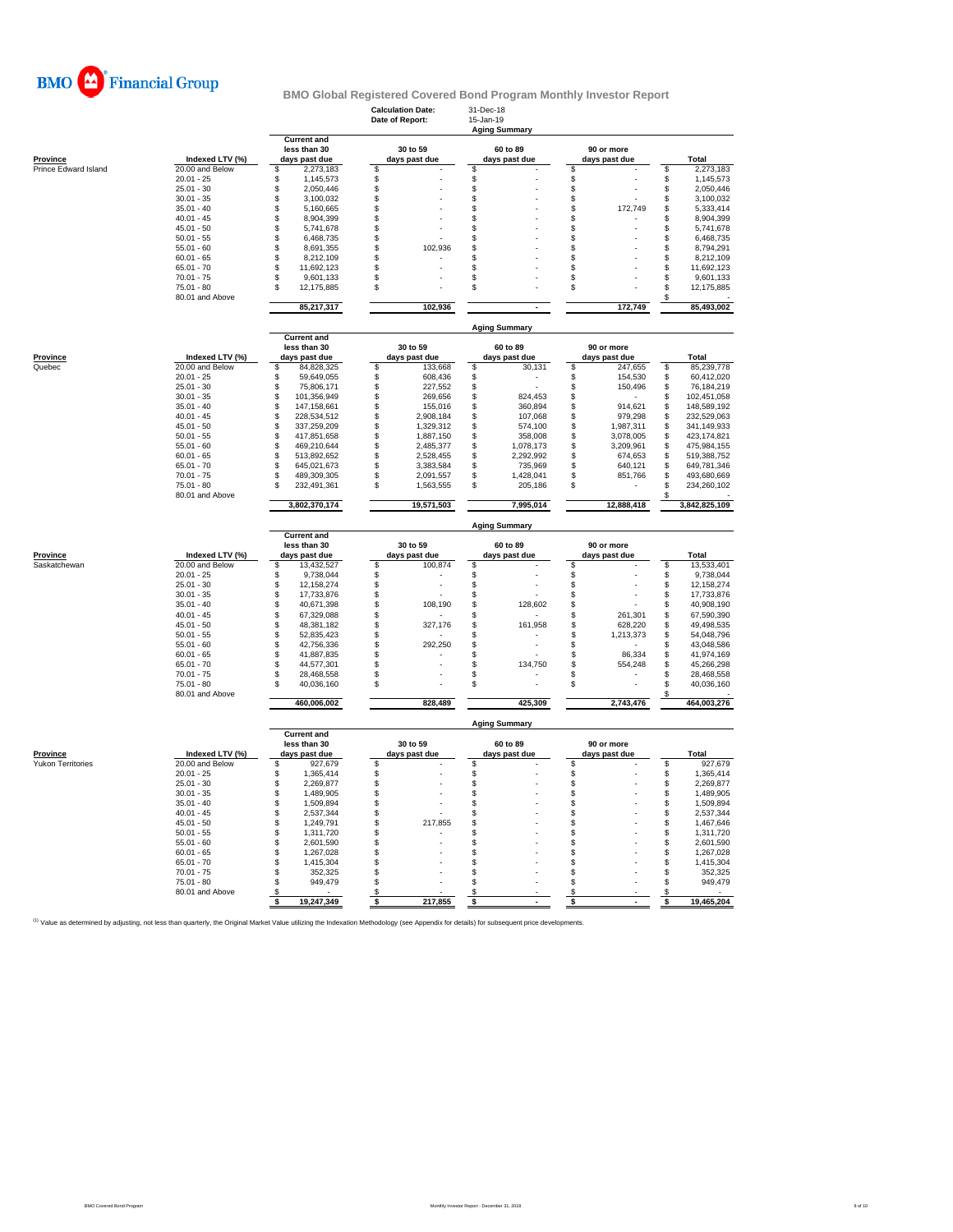

|                                             |                                    |                                                     | <b>Calculation Date:</b><br>Date of Report: | 31-Dec-18<br>15-Jan-19<br><b>Aging Summary</b> |                             |                                     |
|---------------------------------------------|------------------------------------|-----------------------------------------------------|---------------------------------------------|------------------------------------------------|-----------------------------|-------------------------------------|
| Province                                    | Indexed LTV (%)                    | <b>Current and</b><br>less than 30<br>days past due | 30 to 59<br>days past due                   | 60 to 89<br>days past due                      | 90 or more<br>days past due | Total                               |
| Prince Edward Island                        | 20.00 and Below                    | \$<br>2,273,183                                     | \$                                          | S                                              | \$                          | 2,273,183<br>\$                     |
|                                             | $20.01 - 25$                       | \$<br>1,145,573                                     | \$                                          | \$                                             | \$                          | \$<br>1,145,573                     |
|                                             | $25.01 - 30$                       | \$<br>2,050,446                                     | \$                                          | \$                                             | $$\mathbb{S}$$              | \$<br>2,050,446                     |
|                                             | $30.01 - 35$                       | 3,100,032<br>\$                                     | \$                                          | \$                                             | \$                          | \$<br>3,100,032                     |
|                                             | $35.01 - 40$                       | \$<br>5,160,665                                     | \$                                          | \$                                             | \$<br>172,749               | \$<br>5,333,414                     |
|                                             | $40.01 - 45$                       | \$<br>8,904,399                                     | \$                                          | \$                                             | -S                          | 8,904,399<br>\$                     |
|                                             | $45.01 - 50$<br>$50.01 - 55$       | \$<br>5,741,678<br>\$                               | \$                                          | \$                                             | \$                          | \$<br>5,741,678<br>\$               |
|                                             | $55.01 - 60$                       | 6,468,735<br>\$<br>8,691,355                        | \$<br>\$<br>102,936                         | \$<br>\$                                       | \$<br>\$                    | 6,468,735<br>\$<br>8,794,291        |
|                                             | $60.01 - 65$                       | \$<br>8,212,109                                     |                                             | \$                                             | \$                          |                                     |
|                                             | $65.01 - 70$                       | S<br>11,692,123                                     | \$<br>\$                                    | \$                                             | \$                          | \$<br>8,212,109<br>\$<br>11,692,123 |
|                                             | $70.01 - 75$                       | 9,601,133<br>S                                      | \$                                          | \$                                             | \$                          | \$<br>9,601,133                     |
|                                             | $75.01 - 80$<br>80.01 and Above    | \$<br>12,175,885                                    | \$                                          | \$                                             | \$                          | \$<br>12,175,885<br>\$              |
|                                             |                                    | 85,217,317                                          | 102,936                                     |                                                | 172,749                     | 85,493,002                          |
|                                             |                                    | <b>Current and</b>                                  |                                             | <b>Aging Summary</b>                           |                             |                                     |
|                                             |                                    | less than 30                                        | 30 to 59                                    | 60 to 89                                       | 90 or more                  |                                     |
| Province                                    | Indexed LTV (%)                    | days past due                                       | days past due                               | days past due                                  | days past due               | <b>Total</b>                        |
| Quebec                                      | 20.00 and Below                    | \$<br>84,828,325                                    | \$<br>133,668                               | \$<br>30,131                                   | s<br>247,655                | \$<br>85,239,778                    |
|                                             | $20.01 - 25$                       | 59,649,055<br>\$                                    | \$<br>608,436                               | \$                                             | 154,530<br>\$               | \$<br>60,412,020                    |
|                                             | $25.01 - 30$                       | 75,806,171<br>\$                                    | \$<br>227,552                               | \$                                             | 150,496<br>£.               | 76,184,219<br>\$                    |
|                                             | $30.01 - 35$                       | 101,356,949<br>\$                                   | \$<br>269,656                               | \$<br>824,453                                  | \$                          | \$<br>102,451,058                   |
|                                             | $35.01 - 40$                       | \$<br>147,158,661                                   | \$<br>155,016                               | \$<br>360,894                                  | 914,621<br>\$               | \$<br>148,589,192                   |
|                                             | $40.01 - 45$                       | \$<br>228,534,512                                   | \$<br>2,908,184                             | \$<br>107,068                                  | \$<br>979,298               | \$<br>232,529,063                   |
|                                             | $45.01 - 50$                       | 337,259,209<br>\$                                   | \$<br>1,329,312                             | \$<br>574,100                                  | \$<br>1,987,311             | \$<br>341,149,933                   |
|                                             | $50.01 - 55$<br>$55.01 - 60$       | \$<br>417,851,658<br>469,210,644<br>\$              | \$<br>1,887,150<br>\$                       | \$<br>358,008<br>S                             | \$<br>3,078,005<br>\$       | \$<br>423,174,821<br>\$             |
|                                             | $60.01 - 65$                       | \$<br>513,892,652                                   | 2,485,377<br>\$<br>2,528,455                | 1,078,173<br>\$<br>2,292,992                   | 3,209,961<br>\$<br>674,653  | 475,984,155<br>\$<br>519,388,752    |
|                                             | $65.01 - 70$                       | \$<br>645,021,673                                   | \$<br>3,383,584                             | \$<br>735,969                                  | \$<br>640,121               | \$<br>649,781,346                   |
|                                             | $70.01 - 75$                       | 489,309,305<br>\$                                   | \$<br>2,091,557                             | \$.<br>1,428,041                               | $\mathbf{s}$<br>851,766     | \$<br>493,680,669                   |
|                                             | $75.01 - 80$                       | 232,491,361                                         | \$<br>1,563,555                             | \$<br>205,186                                  | \$.                         | \$<br>234,260,102                   |
|                                             | 80.01 and Above                    | 3,802,370,174                                       | 19,571,503                                  | 7,995,014                                      | 12,888,418                  | 3,842,825,109                       |
|                                             |                                    |                                                     |                                             | <b>Aging Summary</b>                           |                             |                                     |
|                                             |                                    | <b>Current and</b>                                  |                                             |                                                |                             |                                     |
|                                             |                                    | less than 30                                        | 30 to 59                                    | 60 to 89                                       | 90 or more                  |                                     |
| Province                                    | Indexed LTV (%)                    | days past due                                       | days past due                               | days past due                                  | days past due               | <b>Total</b>                        |
| Saskatchewan                                | 20.00 and Below<br>$20.01 - 25$    | \$<br>13,432,527<br>9,738,044<br>\$                 | \$<br>100,874<br>\$                         | \$<br>\$                                       | s<br>$\mathfrak{s}$         | 13,533,401<br>\$<br>\$<br>9,738,044 |
|                                             | $25.01 - 30$                       | \$<br>12,158,274                                    | \$                                          | \$                                             | \$                          | \$<br>12,158,274                    |
|                                             | $30.01 - 35$                       | \$<br>17,733,876                                    | \$                                          | \$                                             | $$\mathbb{S}$$              | \$<br>17,733,876                    |
|                                             | $35.01 - 40$                       | 40,671,398<br>\$                                    | \$<br>108,190                               | \$<br>128,602                                  | \$                          | \$<br>40,908,190                    |
|                                             | $40.01 - 45$                       | \$<br>67,329,088                                    | \$                                          | \$                                             | \$<br>261,301               | \$<br>67,590,390                    |
|                                             | $45.01 - 50$                       | \$<br>48,381,182                                    | \$<br>327,176                               | 161,958<br>S                                   | \$<br>628,220               | \$<br>49,498,535                    |
|                                             | $50.01 - 55$                       | 52,835,423<br>\$                                    | \$                                          | \$                                             | \$<br>1,213,373             | 54,048,796<br>\$                    |
|                                             | $55.01 - 60$                       | 42,756,336<br>\$                                    | \$<br>292,250                               | \$                                             | \$                          | 43,048,586<br>\$                    |
|                                             | $60.01 - 65$                       | \$<br>41,887,835                                    | \$                                          | \$                                             | \$<br>86,334                | \$<br>41,974,169                    |
|                                             | $65.01 - 70$                       | \$<br>44,577,301                                    | \$                                          | \$<br>134,750                                  | \$<br>554,248               | \$<br>45,266,298                    |
|                                             | $70.01 - 75$                       | 28,468,558<br>\$                                    | \$                                          | £.                                             | $\mathfrak{L}$              | \$<br>28,468,558                    |
|                                             | $75.01 - 80$<br>80.01 and Above    | 40,036,160<br>\$                                    | \$                                          | \$                                             | \$                          | \$<br>40,036,160<br>S               |
|                                             |                                    | 460,006,002                                         | 828,489                                     | 425,309                                        | 2,743,476                   | 464,003,276                         |
|                                             |                                    | <b>Current and</b>                                  |                                             | <b>Aging Summary</b>                           |                             |                                     |
|                                             |                                    | less than 30                                        | 30 to 59                                    | 60 to 89                                       | 90 or more                  |                                     |
| <b>Province</b><br><b>Yukon Territories</b> | Indexed LTV (%)<br>20.00 and Below | days past due<br>\$<br>927,679                      | days past due<br>\$                         | days past due<br>\$                            | days past due<br>\$         | Total<br>927,679<br>\$              |
|                                             | $20.01 - 25$                       | \$<br>1,365,414                                     | \$                                          | \$                                             | $\,$                        | \$<br>1,365,414                     |
|                                             | $25.01 - 30$                       | 2,269,877<br>\$                                     | \$                                          | \$                                             | \$                          | \$<br>2,269,877                     |
|                                             | $30.01 - 35$                       | \$<br>1,489,905                                     | \$                                          | \$                                             | \$                          | \$<br>1,489,905                     |
|                                             | $35.01 - 40$                       | 1,509,894<br>\$                                     | \$                                          | \$                                             | \$                          | \$<br>1,509,894                     |
|                                             | $40.01 - 45$                       | \$<br>2,537,344                                     | \$                                          | \$                                             | \$                          | \$<br>2,537,344                     |
|                                             | $45.01 - 50$                       | S<br>1,249,791                                      | \$<br>217,855                               | \$                                             | $\mathfrak{L}$              | \$<br>1,467,646                     |
|                                             | $50.01 - 55$                       | \$<br>1,311,720                                     | \$                                          | \$                                             | \$                          | \$<br>1,311,720                     |
|                                             | $55.01 - 60$                       | \$<br>2,601,590                                     | \$                                          | \$                                             | \$                          | \$<br>2,601,590                     |
|                                             | $60.01 - 65$                       | S<br>1.267.028                                      | \$                                          | \$                                             | <b>S</b>                    | \$<br>1,267,028                     |
|                                             | $65.01 - 70$                       | \$<br>1,415,304                                     | \$                                          | \$                                             | \$                          | \$<br>1,415,304                     |
|                                             | $70.01 - 75$                       | \$<br>352,325                                       | \$                                          | \$                                             | \$                          | \$<br>352,325                       |
|                                             | $75.01 - 80$                       | 949,479<br>\$                                       | \$                                          | \$                                             | \$                          | \$<br>949,479                       |
|                                             | 80.01 and Above                    | S<br>19,247,349<br>s                                | \$<br>217,855<br>\$                         | S<br>\$                                        | \$<br>\$                    | \$<br>19,465,204<br>s               |
|                                             |                                    |                                                     |                                             |                                                |                             |                                     |

<sup>(1)</sup> Value as determined by adjusting, not less than quarterly, the Original Market Value utilizing the Indexation Methodology (see Appendix for details) for subsequent price developments.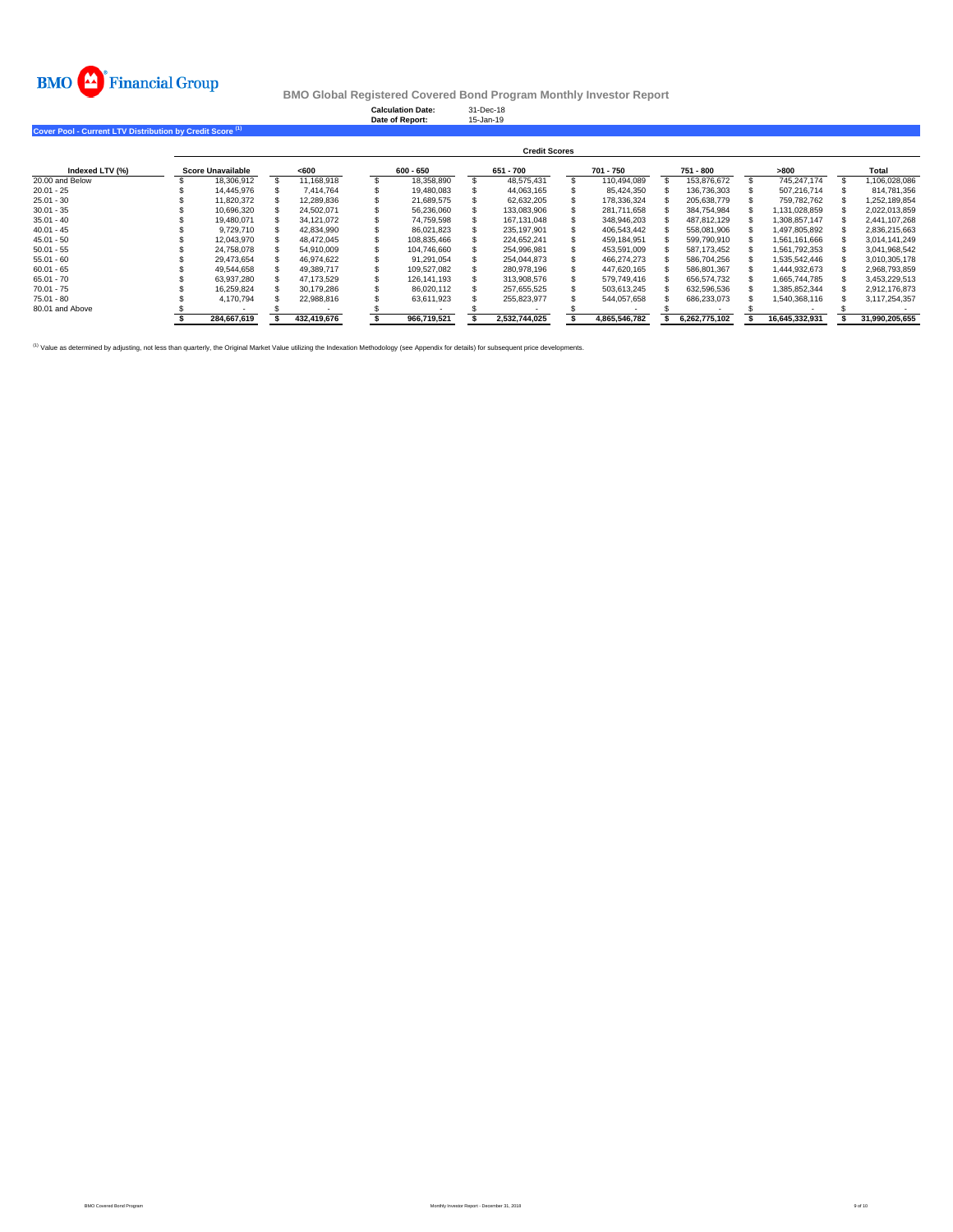

**Calculation Date:** 31-Dec-18 **Date of Report:** 15-Jan-19

**Cover Pool - Current LTV Distribution by Credit Score (1)** 

|                 | <b>Credit Scores</b> |  |             |  |             |  |               |  |               |  |               |                |                |
|-----------------|----------------------|--|-------------|--|-------------|--|---------------|--|---------------|--|---------------|----------------|----------------|
| Indexed LTV (%) | Score Unavailable    |  | <600        |  | 600 - 650   |  | 651 - 700     |  | 701 - 750     |  | 751 - 800     | >800           | Total          |
| 20.00 and Below | 18.306.912           |  | 11.168.918  |  | 18.358.890  |  | 48.575.431    |  | 110.494.089   |  | 153.876.672   | 745.247.174    | 1.106.028.086  |
| $20.01 - 25$    | 14.445.976           |  | 7.414.764   |  | 19.480.083  |  | 44.063.165    |  | 85.424.350    |  | 136.736.303   | 507.216.714    | 814.781.356    |
| $25.01 - 30$    | 11.820.372           |  | 12.289.836  |  | 21.689.575  |  | 62.632.205    |  | 178.336.324   |  | 205.638.779   | 759.782.762    | 1.252.189.854  |
| $30.01 - 35$    | 10.696.320           |  | 24.502.071  |  | 56.236.060  |  | 133.083.906   |  | 281.711.658   |  | 384.754.984   | .131.028.859   | 2.022.013.859  |
| $35.01 - 40$    | 19.480.071           |  | 34.121.072  |  | 74.759.598  |  | 167.131.048   |  | 348.946.203   |  | 487.812.129   | 1.308.857.147  | 2.441.107.268  |
| $40.01 - 45$    | 9.729.710            |  | 42.834.990  |  | 86.021.823  |  | 235.197.901   |  | 406.543.442   |  | 558.081.906   | 1.497.805.892  | 2.836.215.663  |
| $45.01 - 50$    | 12.043.970           |  | 48.472.045  |  | 108.835.466 |  | 224.652.241   |  | 459.184.951   |  | 599.790.910   | 1.561.161.666  | 3.014.141.249  |
| $50.01 - 55$    | 24.758.078           |  | 54.910.009  |  | 104.746.660 |  | 254.996.981   |  | 453.591.009   |  | 587.173.452   | 1.561.792.353  | 3.041.968.542  |
| $55.01 - 60$    | 29.473.654           |  | 46.974.622  |  | 91.291.054  |  | 254.044.873   |  | 466.274.273   |  | 586.704.256   | 1.535.542.446  | 3,010,305,178  |
| $60.01 - 65$    | 49.544.658           |  | 49.389.717  |  | 109.527.082 |  | 280.978.196   |  | 447.620.165   |  | 586,801,367   | 1.444.932.673  | 2,968,793,859  |
| $65.01 - 70$    | 63.937.280           |  | 47.173.529  |  | 126.141.193 |  | 313.908.576   |  | 579,749,416   |  | 656.574.732   | 1.665.744.785  | 3,453,229,513  |
| $70.01 - 75$    | 16.259.824           |  | 30.179.286  |  | 86.020.112  |  | 257.655.525   |  | 503.613.245   |  | 632.596.536   | 1.385.852.344  | 2.912.176.873  |
| $75.01 - 80$    | 4.170.794            |  | 22.988.816  |  | 63.611.923  |  | 255.823.977   |  | 544.057.658   |  | 686,233,073   | 1.540.368.116  | 3.117.254.357  |
| 80.01 and Above |                      |  |             |  |             |  |               |  |               |  |               |                |                |
|                 | 284.667.619          |  | 432,419,676 |  | 966.719.521 |  | 2.532.744.025 |  | 4.865.546.782 |  | 6.262.775.102 | 16.645.332.931 | 31,990,205,655 |

<sup>(1)</sup> Value as determined by adjusting, not less than quarterly, the Original Market Value utilizing the Indexation Methodology (see Appendix for details) for subsequent price developments.